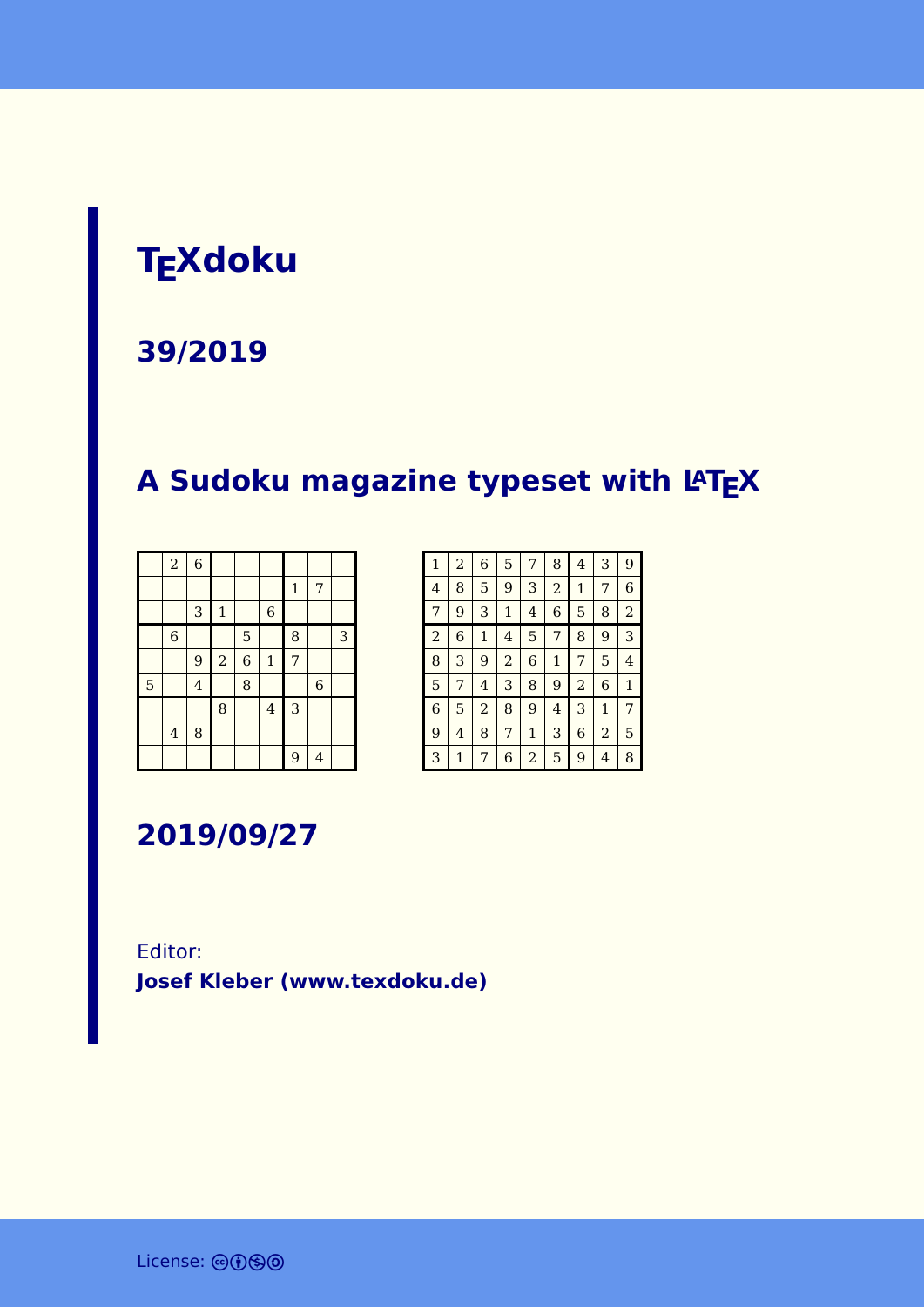# **TEXdoku**

#### **39/2019**

## **A Sudoku magazine typeset with LATEX**

|   | $\overline{a}$          | $\overline{6}$ |              |                |                |              |                |   |
|---|-------------------------|----------------|--------------|----------------|----------------|--------------|----------------|---|
|   |                         |                |              |                |                | $\mathbf{1}$ | 7              |   |
|   |                         | 3              | $\mathbf{1}$ |                | $\,$ 6 $\,$    |              |                |   |
|   | $\,$ 6 $\,$             |                |              | 5              |                | 8            |                | 3 |
|   |                         | 9              | $\sqrt{2}$   | $\overline{6}$ | $\mathbf 1$    | 7            |                |   |
| 5 |                         | $\overline{4}$ |              | 8              |                |              | $\overline{6}$ |   |
|   |                         |                | 8            |                | $\overline{4}$ | 3            |                |   |
|   | $\overline{\mathbf{4}}$ | 8              |              |                |                |              |                |   |
|   |                         |                |              |                |                | 9            | $\overline{4}$ |   |

| $\mathbf{1}$   | $\overline{a}$ | 6            | 5              | 7            | 8            | 4              | 3              | 9              |
|----------------|----------------|--------------|----------------|--------------|--------------|----------------|----------------|----------------|
| $\overline{4}$ | 8              | 5            | 9              | 3            | 2            | 1              | 7              | 6              |
| 7              | 9              | 3            | $\mathbf{1}$   | 4            | 6            | 5              | 8              | $\overline{2}$ |
| $\overline{a}$ | 6              | $\mathbf{1}$ | 4              | 5            | 7            | 8              | 9              | 3              |
| 8              | 3              | 9            | $\overline{2}$ | 6            | $\mathbf{1}$ | 7              | 5              | 4              |
| 5              | 7              | 4            | 3              | 8            | 9            | $\overline{a}$ | 6              | $\mathbf{1}$   |
| 6              | 5              | 2            | 8              | 9            | 4            | 3              | $\mathbf{1}$   | 7              |
| 9              | 4              | 8            | 7              | $\mathbf{1}$ | 3            | 6              | $\overline{2}$ | 5              |
| 3              | 1              | 7            | 6              | 2            | 5            | 9              | 4              | 8              |

**2019/09/27**

Editor: **[Josef Kleber \(www.texdoku.de\)](mailto:texdoku@texdoku.de)**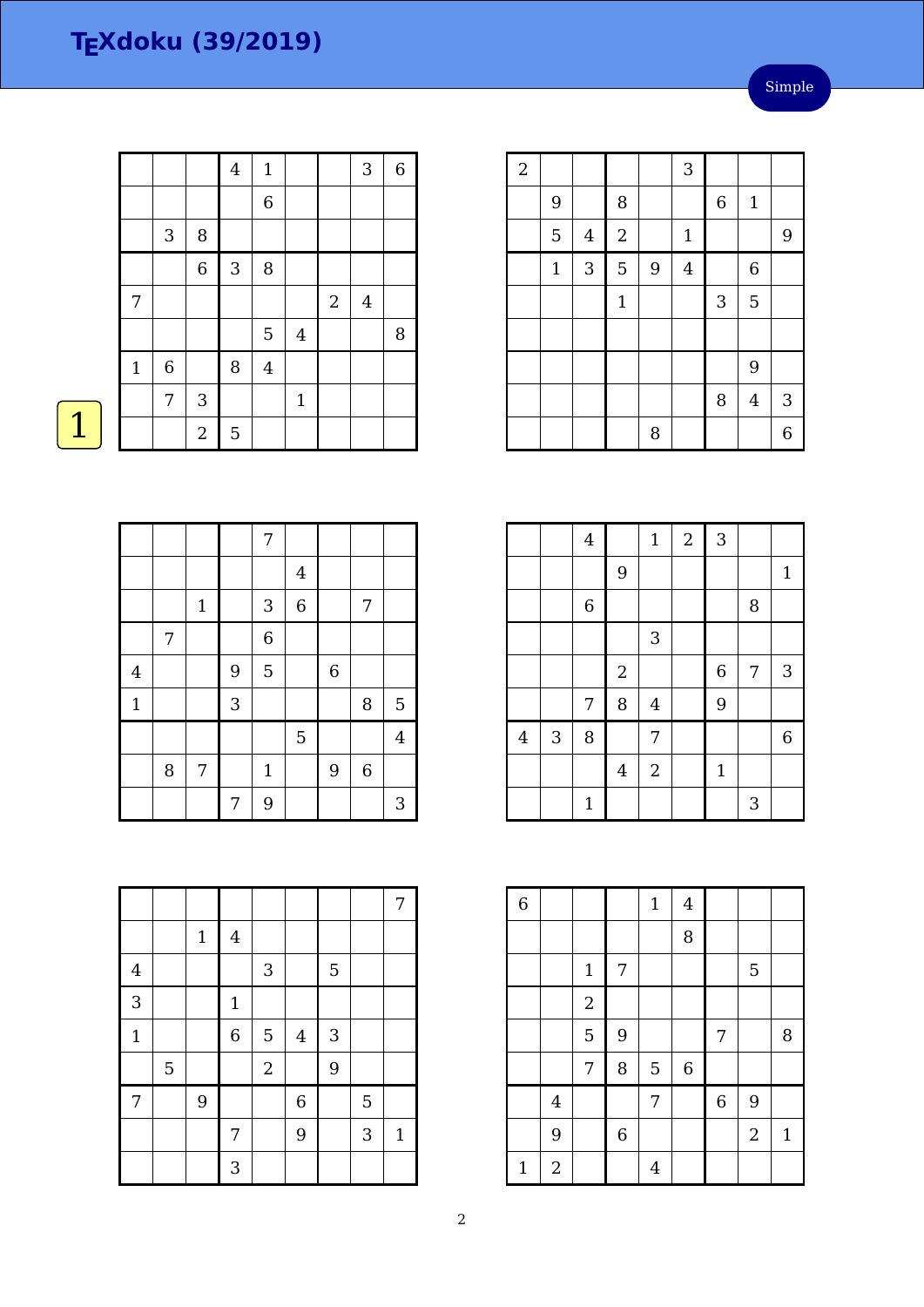Simple

|              |             |                | $\overline{4}$ | $\mathbf{1}$   |              |            | 3              | $\,$ 6 $\,$ |
|--------------|-------------|----------------|----------------|----------------|--------------|------------|----------------|-------------|
|              |             |                |                | $\,$ 6 $\,$    |              |            |                |             |
|              | 3           | 8              |                |                |              |            |                |             |
|              |             | $\,$ 6 $\,$    | $\mathbf{3}$   | $\, 8$         |              |            |                |             |
| 7            |             |                |                |                |              | $\sqrt{2}$ | $\overline{4}$ |             |
|              |             |                |                | $\mathbf 5$    | $\bf 4$      |            |                | 8           |
| $\mathbf{1}$ | $\,$ 6 $\,$ |                | $\, 8$         | $\overline{4}$ |              |            |                |             |
|              | 7           | 3              |                |                | $\mathbf{1}$ |            |                |             |
|              |             | $\overline{2}$ | $\overline{5}$ |                |              |            |                |             |

| $\overline{2}$ |              |         |                |                | 3              |         |                |                |
|----------------|--------------|---------|----------------|----------------|----------------|---------|----------------|----------------|
|                | 9            |         | 8              |                |                | $\,6\,$ | $\mathbf{1}$   |                |
|                | 5            | $\bf 4$ | $\overline{a}$ |                | $\mathbf 1$    |         |                | 9              |
|                | $\mathbf{1}$ | 3       | 5              | $\overline{9}$ | $\overline{4}$ |         | $\,$ 6 $\,$    |                |
|                |              |         | $\mathbf{1}$   |                |                | 3       | 5              |                |
|                |              |         |                |                |                |         |                |                |
|                |              |         |                |                |                |         | 9              |                |
|                |              |         |                |                |                | 8       | $\overline{4}$ | $\mathbf{3}$   |
|                |              |         |                | $\, 8$         |                |         |                | $\overline{6}$ |

|                |   | $\overline{4}$ |                | $\mathbf{1}$   | $\sqrt{2}$ | 3           |   |              |
|----------------|---|----------------|----------------|----------------|------------|-------------|---|--------------|
|                |   |                | 9              |                |            |             |   | $\mathbf{1}$ |
|                |   | $\,$ 6 $\,$    |                |                |            |             | 8 |              |
|                |   |                |                | 3              |            |             |   |              |
|                |   |                | $\sqrt{2}$     |                |            | $\,$ 6 $\,$ | 7 | $\sqrt{3}$   |
|                |   | 7              | 8              | $\overline{4}$ |            | 9           |   |              |
| $\overline{4}$ | 3 | 8              |                | 7              |            |             |   | 6            |
|                |   |                | $\overline{4}$ | $\overline{2}$ |            | $\mathbf 1$ |   |              |
|                |   | $\mathbf{1}$   |                |                |            |             | 3 |              |

| $\overline{6}$ |                  |             |                | $\mathbf 1$    | $\overline{4}$ |                |                |              |
|----------------|------------------|-------------|----------------|----------------|----------------|----------------|----------------|--------------|
|                |                  |             |                |                | 8              |                |                |              |
|                |                  | $\mathbf 1$ | 7              |                |                |                | 5              |              |
|                |                  | $\sqrt{2}$  |                |                |                |                |                |              |
|                |                  | 5           | 9              |                |                | 7              |                | 8            |
|                |                  | 7           | 8              | 5              | $\overline{6}$ |                |                |              |
|                | $\overline{4}$   |             |                | 7              |                | $\overline{6}$ | 9              |              |
|                | 9                |             | $\overline{6}$ |                |                |                | $\overline{2}$ | $\mathbf{1}$ |
| $\mathbf{1}$   | $\boldsymbol{2}$ |             |                | $\overline{4}$ |                |                |                |              |

 $\boxed{1}$ 

|                |   |       |   | 7              |                |             |             |                         |
|----------------|---|-------|---|----------------|----------------|-------------|-------------|-------------------------|
|                |   |       |   |                | $\overline{4}$ |             |             |                         |
|                |   | $1\,$ |   | 3              | $\,$ 6 $\,$    |             | 7           |                         |
|                | 7 |       |   | $\overline{6}$ |                |             |             |                         |
| $\overline{4}$ |   |       | 9 | 5              |                | $\,$ 6 $\,$ |             |                         |
| $\mathbf{1}$   |   |       | 3 |                |                |             | 8           | $\mathbf 5$             |
|                |   |       |   |                | 5              |             |             | $\overline{\mathbf{4}}$ |
|                | 8 | 7     |   | $\mathbf{1}$   |                | 9           | $\,$ 6 $\,$ |                         |
|                |   |       | 7 | 9              |                |             |             | 3                       |

|                |             |       |                |                           |                |   |   | 7            |
|----------------|-------------|-------|----------------|---------------------------|----------------|---|---|--------------|
|                |             | $1\,$ | $\overline{4}$ |                           |                |   |   |              |
| $\overline{4}$ |             |       |                | $\ensuremath{\mathsf{3}}$ |                | 5 |   |              |
| $\overline{3}$ |             |       | $\mathbf 1$    |                           |                |   |   |              |
| $\mathbf{1}$   |             |       | $\overline{6}$ | 5                         | $\overline{4}$ | 3 |   |              |
|                | $\mathbf 5$ |       |                | $\overline{c}$            |                | 9 |   |              |
| 7              |             | 9     |                |                           | $\overline{6}$ |   | 5 |              |
|                |             |       | 7              |                           | 9              |   | 3 | $\mathbf{1}$ |
|                |             |       | 3              |                           |                |   |   |              |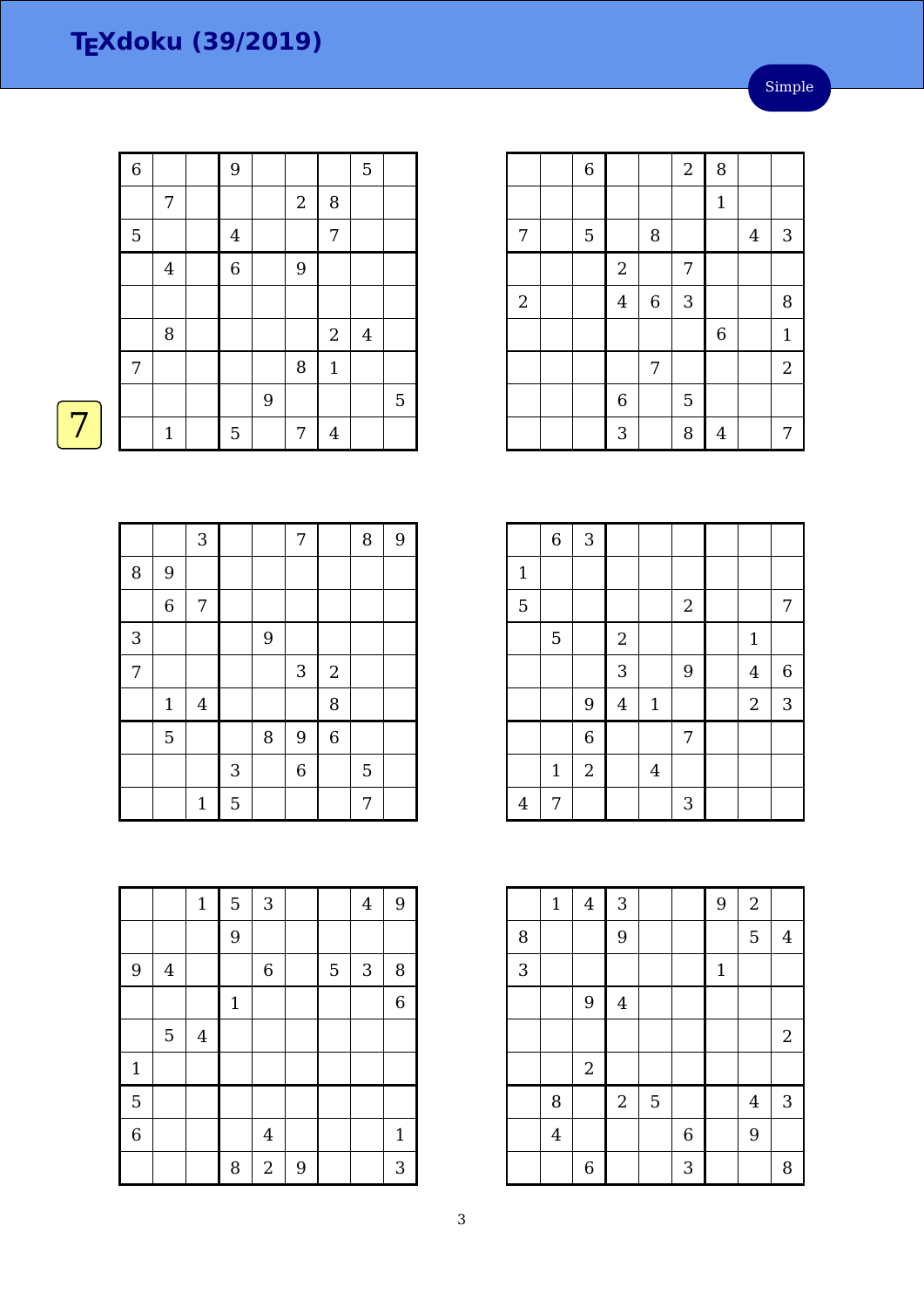Simple

| $\overline{6}$ |                  | 9                |   |                  |                | $\overline{5}$   |   |
|----------------|------------------|------------------|---|------------------|----------------|------------------|---|
|                | $\boldsymbol{7}$ |                  |   | $\sqrt{2}$       | $\, 8$         |                  |   |
| $\overline{5}$ |                  | $\boldsymbol{4}$ |   |                  | $\overline{7}$ |                  |   |
|                | $\overline{4}$   | $\overline{6}$   |   | $\boldsymbol{9}$ |                |                  |   |
|                |                  |                  |   |                  |                |                  |   |
|                | $\, 8$           |                  |   |                  | $\sqrt{2}$     | $\boldsymbol{4}$ |   |
| $\overline{7}$ |                  |                  |   | 8                | $\mathbf{1}$   |                  |   |
|                |                  |                  | 9 |                  |                |                  | 5 |
|                | $1\,$            | 5                |   | 7                | $\overline{4}$ |                  |   |
|                |                  |                  |   |                  |                |                  |   |

|            | 6 |                  |                  | $\overline{2}$ | 8              |                |                |
|------------|---|------------------|------------------|----------------|----------------|----------------|----------------|
|            |   |                  |                  |                | $1\,$          |                |                |
| 7          | 5 |                  | 8                |                |                | $\overline{4}$ | $\mathbf{3}$   |
|            |   | $\sqrt{2}$       |                  | 7              |                |                |                |
| $\sqrt{2}$ |   | $\overline{4}$   | $\boldsymbol{6}$ | $\mathbf{3}$   |                |                | 8              |
|            |   |                  |                  |                | 6              |                | $\mathbf{1}$   |
|            |   |                  | 7                |                |                |                | $\overline{2}$ |
|            |   | $\boldsymbol{6}$ |                  | 5              |                |                |                |
|            |   | 3                |                  | 8              | $\overline{4}$ |                | 7              |

|                | $\,$ 6 $\,$ | 3              |                |                |            |                |                  |
|----------------|-------------|----------------|----------------|----------------|------------|----------------|------------------|
| $\mathbf 1$    |             |                |                |                |            |                |                  |
| $\overline{5}$ |             |                |                |                | $\sqrt{2}$ |                | 7                |
|                | 5           |                | $\overline{2}$ |                |            | $\mathbf 1$    |                  |
|                |             |                | 3              |                | 9          | $\overline{4}$ | $\boldsymbol{6}$ |
|                |             | 9              | $\bf 4$        | $1\,$          |            | $\sqrt{2}$     | $\mathbf{3}$     |
|                |             | $\overline{6}$ |                |                | 7          |                |                  |
|                | $\mathbf 1$ | $\overline{2}$ |                | $\overline{4}$ |            |                |                  |
| $\overline{4}$ | 7           |                |                |                | 3          |                |                  |

|   | $\mathbf 1$    | $\overline{4}$   | $\sqrt{3}$ |             |                | 9           | $\sqrt{2}$     |                  |
|---|----------------|------------------|------------|-------------|----------------|-------------|----------------|------------------|
| 8 |                |                  | 9          |             |                |             | 5              | $\overline{4}$   |
| 3 |                |                  |            |             |                | $\mathbf 1$ |                |                  |
|   |                | 9                | $\bf 4$    |             |                |             |                |                  |
|   |                |                  |            |             |                |             |                | $\boldsymbol{2}$ |
|   |                | $\boldsymbol{2}$ |            |             |                |             |                |                  |
|   | 8              |                  | $\sqrt{2}$ | $\mathbf 5$ |                |             | $\overline{4}$ | 3                |
|   | $\overline{4}$ |                  |            |             | $\overline{6}$ |             | 9              |                  |
|   |                | $\boldsymbol{6}$ |            |             | 3              |             |                | 8                |

|   |                | 3              |              |   | $\overline{7}$            |                | 8 | 9 |
|---|----------------|----------------|--------------|---|---------------------------|----------------|---|---|
| 8 | 9              |                |              |   |                           |                |   |   |
|   | $\overline{6}$ | 7              |              |   |                           |                |   |   |
| 3 |                |                |              | 9 |                           |                |   |   |
| 7 |                |                |              |   | $\ensuremath{\mathsf{3}}$ | $\sqrt{2}$     |   |   |
|   | $1\,$          | $\overline{4}$ |              |   |                           | 8              |   |   |
|   | 5              |                |              | 8 | 9                         | $\overline{6}$ |   |   |
|   |                |                | $\mathbf{3}$ |   | $\overline{6}$            |                | 5 |   |
|   |                | $\mathbf 1$    | 5            |   |                           |                | 7 |   |

|                |                | $\mathbf 1$      | 5            | $\sqrt{3}$       |   |   | $\overline{4}$ | 9              |
|----------------|----------------|------------------|--------------|------------------|---|---|----------------|----------------|
|                |                |                  | 9            |                  |   |   |                |                |
| 9              | $\overline{4}$ |                  |              | $\,$ 6 $\,$      |   | 5 | 3              | 8              |
|                |                |                  | $\mathbf{1}$ |                  |   |   |                | $\overline{6}$ |
|                | 5              | $\boldsymbol{4}$ |              |                  |   |   |                |                |
| $\mathbf{1}$   |                |                  |              |                  |   |   |                |                |
| 5              |                |                  |              |                  |   |   |                |                |
| $\overline{6}$ |                |                  |              | $\bf 4$          |   |   |                | $\mathbf{1}$   |
|                |                |                  | 8            | $\boldsymbol{2}$ | 9 |   |                | 3              |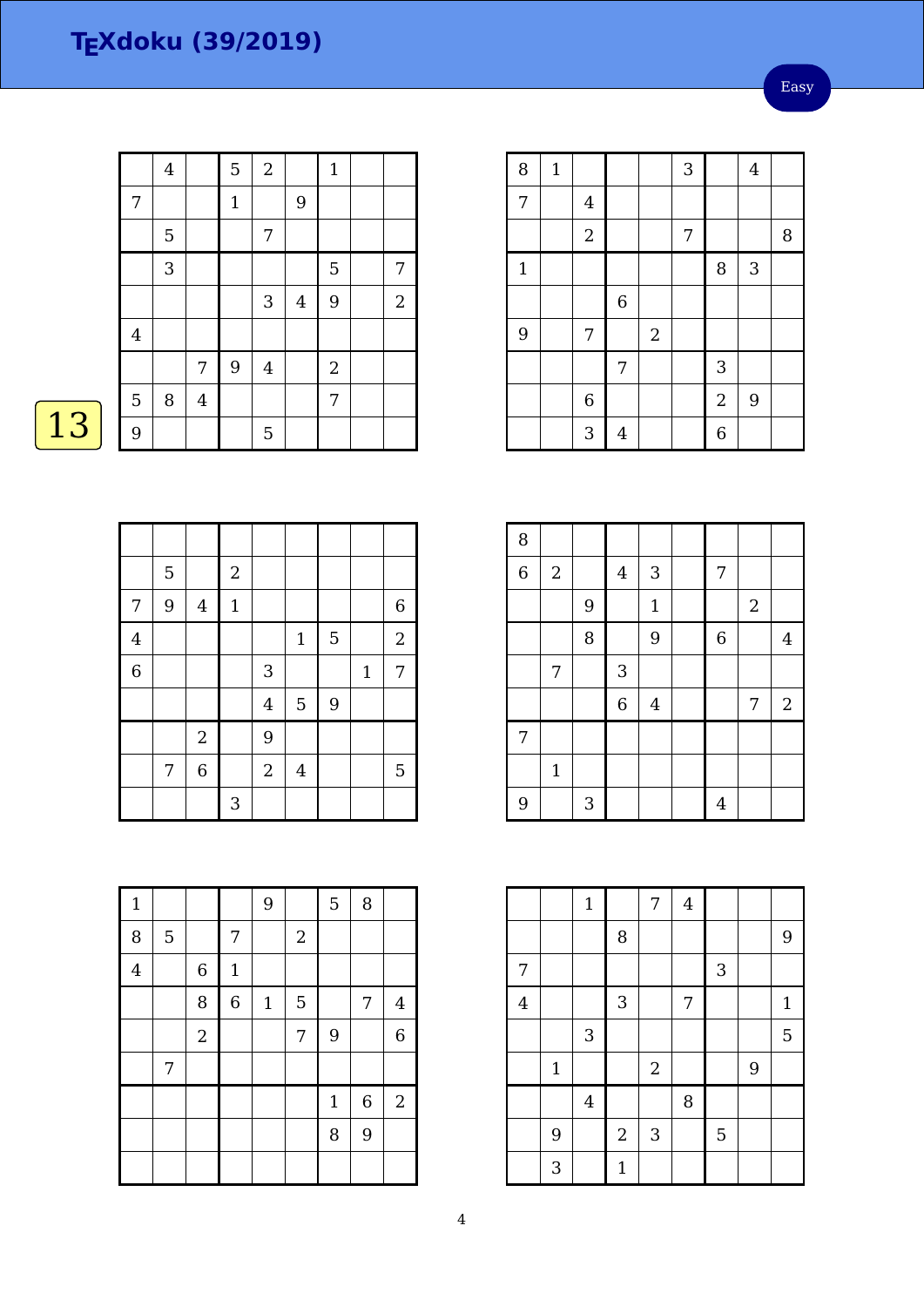|    |                | $\overline{4}$ |         | 5            | $\boldsymbol{2}$ |                | $\mathbf{1}$     |                |
|----|----------------|----------------|---------|--------------|------------------|----------------|------------------|----------------|
|    | 7              |                |         | $\mathbf{1}$ |                  | 9              |                  |                |
|    |                | 5              |         |              | 7                |                |                  |                |
|    |                | 3              |         |              |                  |                | 5                | 7              |
|    |                |                |         |              | $\sqrt{3}$       | $\overline{4}$ | 9                | $\overline{2}$ |
|    | $\overline{4}$ |                |         |              |                  |                |                  |                |
|    |                |                | 7       | $9\,$        | $\overline{4}$   |                | $\boldsymbol{2}$ |                |
|    | $\mathbf 5$    | 8              | $\bf 4$ |              |                  |                | 7                |                |
| 13 | 9              |                |         |              | $\mathbf 5$      |                |                  |                |

|                | $\mathbf 5$ |                | $\sqrt{2}$                |                |                |   |             |                |
|----------------|-------------|----------------|---------------------------|----------------|----------------|---|-------------|----------------|
| 7              | 9           | $\overline{4}$ | $\mathbf 1$               |                |                |   |             | $\,$ 6 $\,$    |
| $\overline{4}$ |             |                |                           |                | $\mathbf 1$    | 5 |             | $\overline{2}$ |
| $\overline{6}$ |             |                |                           | 3              |                |   | $\mathbf 1$ | 7              |
|                |             |                |                           | $\overline{4}$ | 5              | 9 |             |                |
|                |             | $\sqrt{2}$     |                           | 9              |                |   |             |                |
|                | 7           | $\overline{6}$ |                           | $\sqrt{2}$     | $\overline{4}$ |   |             | 5              |
|                |             |                | $\ensuremath{\mathsf{3}}$ |                |                |   |             |                |

| $\mathbf{1}$   |             |                |              | 9            |            | 5           | 8 |                |
|----------------|-------------|----------------|--------------|--------------|------------|-------------|---|----------------|
| 8              | $\mathbf 5$ |                | 7            |              | $\sqrt{2}$ |             |   |                |
| $\overline{4}$ |             | $\,$ 6 $\,$    | $\mathbf{1}$ |              |            |             |   |                |
|                |             | 8              | $\,$ 6 $\,$  | $\mathbf{1}$ | 5          |             | 7 | $\overline{4}$ |
|                |             | $\overline{2}$ |              |              | 7          | 9           |   | 6              |
|                | 7           |                |              |              |            |             |   |                |
|                |             |                |              |              |            | $\mathbf 1$ | 6 | $\overline{2}$ |
|                |             |                |              |              |            | 8           | 9 |                |
|                |             |                |              |              |            |             |   |                |

| 8           | $1\,$ |                |                  |            | 3 |                | $\overline{4}$ |   |
|-------------|-------|----------------|------------------|------------|---|----------------|----------------|---|
| 7           |       | $\overline{4}$ |                  |            |   |                |                |   |
|             |       | $\sqrt{2}$     |                  |            | 7 |                |                | 8 |
| $\mathbf 1$ |       |                |                  |            |   | 8              | 3              |   |
|             |       |                | $\boldsymbol{6}$ |            |   |                |                |   |
| 9           |       | 7              |                  | $\sqrt{2}$ |   |                |                |   |
|             |       |                | 7                |            |   | 3              |                |   |
|             |       | $\overline{6}$ |                  |            |   | $\overline{a}$ | 9              |   |
|             |       | 3              | $\overline{4}$   |            |   | 6              |                |   |

Easy

| 8              |             |   |                |              |                |            |                  |
|----------------|-------------|---|----------------|--------------|----------------|------------|------------------|
| $\overline{6}$ | $\sqrt{2}$  |   | $\bf 4$        | 3            | 7              |            |                  |
|                |             | 9 |                | $\mathbf{1}$ |                | $\sqrt{2}$ |                  |
|                |             | 8 |                | 9            | $\overline{6}$ |            | $\overline{4}$   |
|                | 7           |   | 3              |              |                |            |                  |
|                |             |   | $\overline{6}$ | $\bf 4$      |                | 7          | $\boldsymbol{2}$ |
| 7              |             |   |                |              |                |            |                  |
|                | $\mathbf 1$ |   |                |              |                |            |                  |
| 9              |             | 3 |                |              | 4              |            |                  |

|                |                | $\mathbf{1}$   |                | 7          | $\overline{4}$ |   |   |              |
|----------------|----------------|----------------|----------------|------------|----------------|---|---|--------------|
|                |                |                | 8              |            |                |   |   | 9            |
| 7              |                |                |                |            |                | 3 |   |              |
| $\overline{4}$ |                |                | 3              |            | 7              |   |   | $\mathbf{1}$ |
|                |                | $\mathbf{3}$   |                |            |                |   |   | 5            |
|                | $\mathbf{1}$   |                |                | $\sqrt{2}$ |                |   | 9 |              |
|                |                | $\overline{4}$ |                |            | 8              |   |   |              |
|                | $\overline{9}$ |                | $\overline{c}$ | 3          |                | 5 |   |              |
|                | 3              |                | $\mathbf{1}$   |            |                |   |   |              |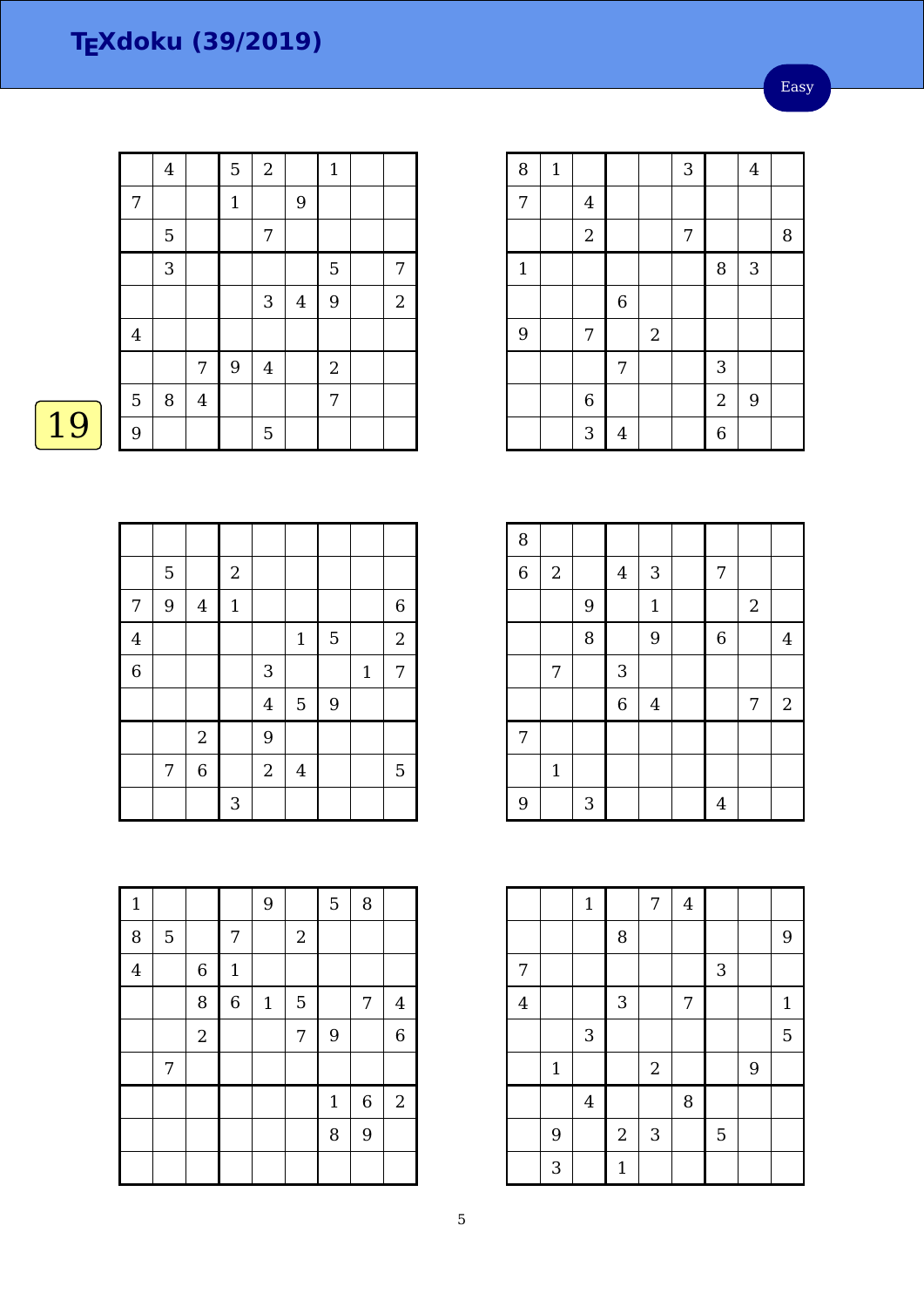$\boxed{19}$ 

|                         | $\overline{4}$ |                | 5            | $\overline{c}$ |                | $\mathbf{1}$   |            |
|-------------------------|----------------|----------------|--------------|----------------|----------------|----------------|------------|
| 7                       |                |                | $\mathbf{1}$ |                | 9              |                |            |
|                         | $\mathbf 5$    |                |              | 7              |                |                |            |
|                         | 3              |                |              |                |                | 5              | 7          |
|                         |                |                |              | 3              | $\overline{4}$ | 9              | $\sqrt{2}$ |
| $\overline{\mathbf{4}}$ |                |                |              |                |                |                |            |
|                         |                | 7              | 9            | $\overline{4}$ |                | $\overline{2}$ |            |
| $\overline{5}$          | 8              | $\overline{4}$ |              |                |                | $\overline{7}$ |            |
| 9                       |                |                |              | 5              |                |                |            |

|                | 5 |                | $\sqrt{2}$   |                |                |                |              |                |
|----------------|---|----------------|--------------|----------------|----------------|----------------|--------------|----------------|
| 7              | 9 | $\overline{4}$ | $\mathbf{1}$ |                |                |                |              | 6              |
| $\overline{4}$ |   |                |              |                | $1\,$          | 5              |              | $\overline{c}$ |
| $\overline{6}$ |   |                |              | 3              |                |                | $\mathbf{1}$ | 7              |
|                |   |                |              | $\overline{4}$ | 5              | $\overline{9}$ |              |                |
|                |   | $\overline{c}$ |              | 9              |                |                |              |                |
|                | 7 | 6              |              | $\sqrt{2}$     | $\overline{4}$ |                |              | 5              |
|                |   |                | 3            |                |                |                |              |                |

| $\mathbf{1}$   |             |                |                | $9$   |            | 5            | 8                |                |
|----------------|-------------|----------------|----------------|-------|------------|--------------|------------------|----------------|
| 8              | $\mathbf 5$ |                | 7              |       | $\sqrt{2}$ |              |                  |                |
| $\overline{4}$ |             | $\,$ 6 $\,$    | $\mathbf{1}$   |       |            |              |                  |                |
|                |             | 8              | $\overline{6}$ | $1\,$ | 5          |              | $\boldsymbol{7}$ | $\overline{4}$ |
|                |             | $\overline{2}$ |                |       | 7          | 9            |                  | $\overline{6}$ |
|                | 7           |                |                |       |            |              |                  |                |
|                |             |                |                |       |            | $\mathbf{1}$ | $\overline{6}$   | $\overline{2}$ |
|                |             |                |                |       |            | 8            | 9                |                |
|                |             |                |                |       |            |              |                  |                |

| ï |   |
|---|---|
|   | ۶ |
|   |   |

|         |              |                | 8              |                |   |   |   | 9           |
|---------|--------------|----------------|----------------|----------------|---|---|---|-------------|
| 7       |              |                |                |                |   | 3 |   |             |
| $\bf 4$ |              |                | 3              |                | 7 |   |   | $1\,$       |
|         |              | 3              |                |                |   |   |   | $\mathbf 5$ |
|         | $\mathbf{1}$ |                |                | $\overline{c}$ |   |   | 9 |             |
|         |              | $\overline{4}$ |                |                | 8 |   |   |             |
|         | 9            |                | $\overline{2}$ | 3              |   | 5 |   |             |
|         | 3            |                | $\mathbf{1}$   |                |   |   |   |             |

 $7 \mid 4$ 

| 8     | $\mathbf{1}$ |                |             |            | 3 |                  | $\overline{4}$ |   |
|-------|--------------|----------------|-------------|------------|---|------------------|----------------|---|
| 7     |              | $\overline{4}$ |             |            |   |                  |                |   |
|       |              | $\overline{2}$ |             |            | 7 |                  |                | 8 |
| $1\,$ |              |                |             |            |   | 8                | $\sqrt{3}$     |   |
|       |              |                | $\,$ 6 $\,$ |            |   |                  |                |   |
| 9     |              | 7              |             | $\sqrt{2}$ |   |                  |                |   |
|       |              |                | 7           |            |   | 3                |                |   |
|       |              | $\,$ 6 $\,$    |             |            |   | $\boldsymbol{2}$ | 9              |   |
|       |              | 3              | 4           |            |   | $\overline{6}$   |                |   |

| 8              |                |   |                |                |                |            |                |
|----------------|----------------|---|----------------|----------------|----------------|------------|----------------|
| $\overline{6}$ | $\overline{2}$ |   | $\bf 4$        | $\sqrt{3}$     | 7              |            |                |
|                |                | 9 |                | $\mathbf 1$    |                | $\sqrt{2}$ |                |
|                |                | 8 |                | 9              | $\overline{6}$ |            | $\overline{4}$ |
|                | 7              |   | 3              |                |                |            |                |
|                |                |   | $\overline{6}$ | $\overline{4}$ |                | 7          | $\sqrt{2}$     |
| 7              |                |   |                |                |                |            |                |
|                | $\mathbf 1$    |   |                |                |                |            |                |
| 9              |                | 3 |                |                | 4              |            |                |

|   | $\mathbf{v}$   |   |                |  |   |
|---|----------------|---|----------------|--|---|
|   |                |   |                |  |   |
|   |                | 5 | $\overline{7}$ |  |   |
| 3 | $\overline{4}$ | 9 | $\overline{2}$ |  |   |
|   |                |   |                |  | 9 |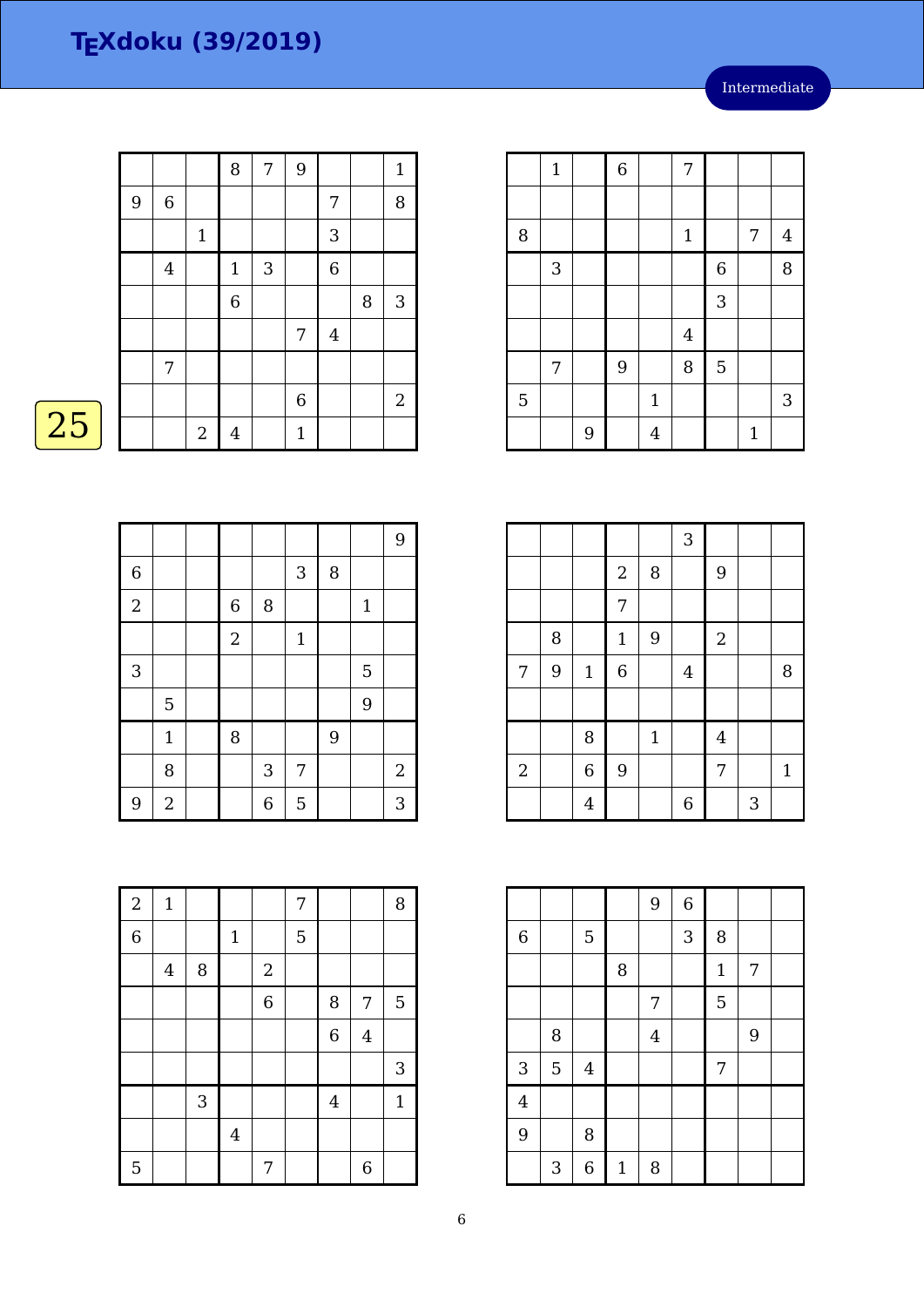Intermediate

| 9<br>8<br>7<br>$\mathbf{1}$<br>$\,6\,$<br>8<br>9<br>7<br>$\ensuremath{\mathsf{3}}$<br>$\mathbf 1$<br>$\overline{6}$<br>$\mathbf{3}$<br>$\boldsymbol{4}$<br>$\mathbf{1}$<br>6<br>$\sqrt{3}$<br>8<br>$\bf 4$<br>7<br>7<br>6<br>$\overline{2}$ |    |  |                |                |              |  |  |
|---------------------------------------------------------------------------------------------------------------------------------------------------------------------------------------------------------------------------------------------|----|--|----------------|----------------|--------------|--|--|
|                                                                                                                                                                                                                                             |    |  |                |                |              |  |  |
|                                                                                                                                                                                                                                             |    |  |                |                |              |  |  |
|                                                                                                                                                                                                                                             |    |  |                |                |              |  |  |
|                                                                                                                                                                                                                                             |    |  |                |                |              |  |  |
|                                                                                                                                                                                                                                             |    |  |                |                |              |  |  |
|                                                                                                                                                                                                                                             |    |  |                |                |              |  |  |
|                                                                                                                                                                                                                                             |    |  |                |                |              |  |  |
|                                                                                                                                                                                                                                             |    |  |                |                |              |  |  |
|                                                                                                                                                                                                                                             | 25 |  | $\overline{2}$ | $\overline{4}$ | $\mathbf{1}$ |  |  |

|                |                |                |                           |              |   |              | 9            |
|----------------|----------------|----------------|---------------------------|--------------|---|--------------|--------------|
| $\overline{6}$ |                |                |                           | 3            | 8 |              |              |
| $\overline{2}$ |                | $\,$ 6 $\,$    | $\, 8$                    |              |   | $\mathbf{1}$ |              |
|                |                | $\overline{2}$ |                           | $\mathbf{1}$ |   |              |              |
| $\sqrt{3}$     |                |                |                           |              |   | 5            |              |
|                | 5              |                |                           |              |   | 9            |              |
|                | $\mathbf 1$    | $\, 8$         |                           |              | 9 |              |              |
|                | 8              |                | $\ensuremath{\mathsf{3}}$ | 7            |   |              | $\mathbf{2}$ |
| 9              | $\overline{2}$ |                | 6                         | 5            |   |              | 3            |

|                | $\mathbf{1}$              |   | $\overline{6}$ |                | 7              |                |              |                |
|----------------|---------------------------|---|----------------|----------------|----------------|----------------|--------------|----------------|
|                |                           |   |                |                |                |                |              |                |
| 8              |                           |   |                |                | $\mathbf{1}$   |                | 7            | $\overline{4}$ |
|                | $\ensuremath{\mathsf{3}}$ |   |                |                |                | $\overline{6}$ |              | 8              |
|                |                           |   |                |                |                | 3              |              |                |
|                |                           |   |                |                | $\overline{4}$ |                |              |                |
|                | 7                         |   | 9              |                | 8              | 5              |              |                |
| $\overline{5}$ |                           |   |                | $\mathbf{1}$   |                |                |              | 3              |
|                |                           | 9 |                | $\overline{4}$ |                |                | $\mathbf{1}$ |                |

|                |   |                |                |              | 3              |                  |   |              |
|----------------|---|----------------|----------------|--------------|----------------|------------------|---|--------------|
|                |   |                | $\overline{2}$ | 8            |                | 9                |   |              |
|                |   |                | 7              |              |                |                  |   |              |
|                | 8 |                | $\mathbf 1$    | 9            |                | $\boldsymbol{2}$ |   |              |
| 7              | 9 | $\mathbf 1$    | $\,$ 6 $\,$    |              | $\overline{4}$ |                  |   | 8            |
|                |   |                |                |              |                |                  |   |              |
|                |   | 8              |                | $\mathbf{1}$ |                | $\overline{4}$   |   |              |
| $\overline{2}$ |   | $\overline{6}$ | 9              |              |                | 7                |   | $\mathbf{1}$ |
|                |   | $\overline{4}$ |                |              | $\overline{6}$ |                  | 3 |              |

|                |                           |                  |             | 9              | $\overline{6}$ |             |   |  |
|----------------|---------------------------|------------------|-------------|----------------|----------------|-------------|---|--|
| $\overline{6}$ |                           | $\overline{5}$   |             |                | 3              | 8           |   |  |
|                |                           |                  | 8           |                |                | $\mathbf 1$ | 7 |  |
|                |                           |                  |             | 7              |                | 5           |   |  |
|                | 8                         |                  |             | $\overline{4}$ |                |             | 9 |  |
| 3              | $\overline{5}$            | $\overline{4}$   |             |                |                | 7           |   |  |
| $\overline{4}$ |                           |                  |             |                |                |             |   |  |
| 9              |                           | 8                |             |                |                |             |   |  |
|                | $\ensuremath{\mathsf{3}}$ | $\boldsymbol{6}$ | $\mathbf 1$ | 8              |                |             |   |  |

| $\overline{2}$ | $\mathbf{1}$ |              |                |                | 7 |                |                  | 8              |
|----------------|--------------|--------------|----------------|----------------|---|----------------|------------------|----------------|
| $\overline{6}$ |              |              | $\mathbf 1$    |                | 5 |                |                  |                |
|                | $\bf 4$      | $\, 8$       |                | $\sqrt{2}$     |   |                |                  |                |
|                |              |              |                | $\overline{6}$ |   | 8              | 7                | $\overline{5}$ |
|                |              |              |                |                |   | $\overline{6}$ | $\overline{4}$   |                |
|                |              |              |                |                |   |                |                  | 3              |
|                |              | $\mathbf{3}$ |                |                |   | $\overline{4}$ |                  | $\mathbf{1}$   |
|                |              |              | $\overline{4}$ |                |   |                |                  |                |
| 5              |              |              |                | 7              |   |                | $\boldsymbol{6}$ |                |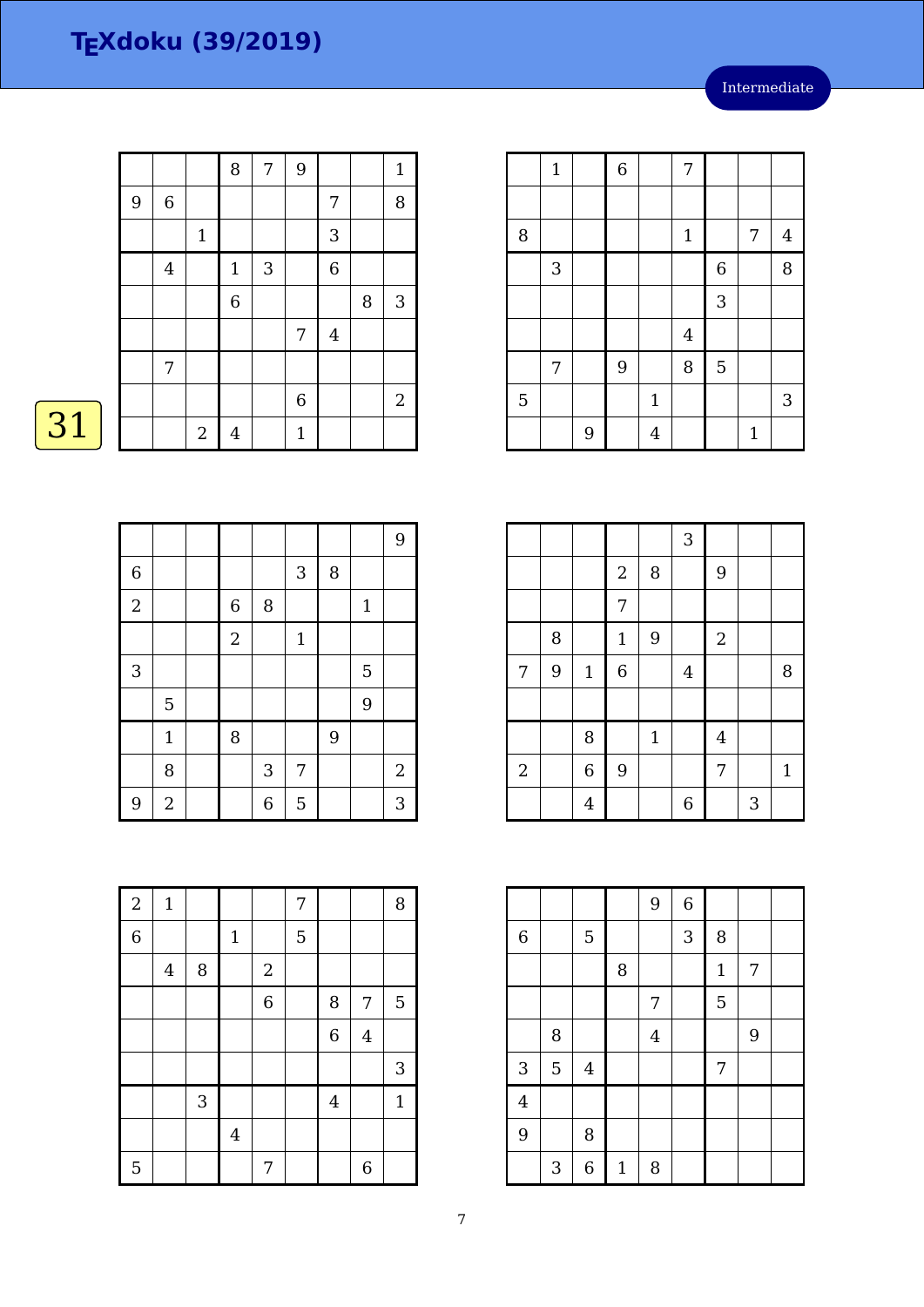Intermediate

|   |                |                | 8              | 7 | 9              |                |   | $1\,$          |
|---|----------------|----------------|----------------|---|----------------|----------------|---|----------------|
| 9 | $\,6\,$        |                |                |   |                | 7              |   | 8              |
|   |                | $1\,$          |                |   |                | 3              |   |                |
|   | $\overline{4}$ |                | $\mathbf{1}$   | 3 |                | $\overline{6}$ |   |                |
|   |                |                | $\overline{6}$ |   |                |                | 8 | $\sqrt{3}$     |
|   |                |                |                |   | $\overline{7}$ | $\bf 4$        |   |                |
|   | 7              |                |                |   |                |                |   |                |
|   |                |                |                |   | $\,$ 6 $\,$    |                |   | $\overline{2}$ |
|   |                | $\overline{2}$ | $\overline{4}$ |   | $\mathbf{1}$   |                |   |                |

 $\boxed{31}$ 

|                |                |                |                           |              |   |              | 9          |
|----------------|----------------|----------------|---------------------------|--------------|---|--------------|------------|
| $\overline{6}$ |                |                |                           | 3            | 8 |              |            |
| $\overline{2}$ |                | $\,$ 6 $\,$    | 8                         |              |   | $\mathbf{1}$ |            |
|                |                | $\overline{2}$ |                           | $\mathbf{1}$ |   |              |            |
| 3              |                |                |                           |              |   | 5            |            |
|                | 5              |                |                           |              |   | 9            |            |
|                | $\mathbf{1}$   | 8              |                           |              | 9 |              |            |
|                | 8              |                | $\ensuremath{\mathsf{3}}$ | 7            |   |              | $\sqrt{2}$ |
| 9              | $\overline{2}$ |                | 6                         | 5            |   |              | 3          |

|   | $\mathbf 1$ |   | $\overline{6}$ |                | 7            |                |              |                |
|---|-------------|---|----------------|----------------|--------------|----------------|--------------|----------------|
|   |             |   |                |                |              |                |              |                |
| 8 |             |   |                |                | $\mathbf{1}$ |                | 7            | $\overline{4}$ |
|   | 3           |   |                |                |              | $\overline{6}$ |              | 8              |
|   |             |   |                |                |              | 3              |              |                |
|   |             |   |                |                | $\bf 4$      |                |              |                |
|   | 7           |   | 9              |                | 8            | 5              |              |                |
| 5 |             |   |                | $\mathbf{1}$   |              |                |              | 3              |
|   |             | 9 |                | $\overline{4}$ |              |                | $\mathbf{1}$ |                |

|                |   |                |                  |             | $\mathbf{3}$   |                  |   |              |
|----------------|---|----------------|------------------|-------------|----------------|------------------|---|--------------|
|                |   |                | $\sqrt{2}$       | 8           |                | 9                |   |              |
|                |   |                | 7                |             |                |                  |   |              |
|                | 8 |                | $\mathbf 1$      | 9           |                | $\boldsymbol{2}$ |   |              |
| 7              | 9 | $\mathbf 1$    | $\boldsymbol{6}$ |             | $\overline{4}$ |                  |   | 8            |
|                |   |                |                  |             |                |                  |   |              |
|                |   | 8              |                  | $\mathbf 1$ |                | $\overline{4}$   |   |              |
| $\overline{2}$ |   | $\overline{6}$ | 9                |             |                | 7                |   | $\mathbf{1}$ |
|                |   | $\overline{4}$ |                  |             | 6              |                  | 3 |              |

|                |                           |         |              | 9              | $\overline{6}$ |              |   |  |
|----------------|---------------------------|---------|--------------|----------------|----------------|--------------|---|--|
| $\,$ 6 $\,$    |                           | 5       |              |                | 3              | 8            |   |  |
|                |                           |         | 8            |                |                | $\mathbf{1}$ | 7 |  |
|                |                           |         |              | $\overline{7}$ |                | 5            |   |  |
|                | 8                         |         |              | $\overline{4}$ |                |              | 9 |  |
| 3              | $\overline{5}$            | $\bf 4$ |              |                |                | 7            |   |  |
| $\overline{4}$ |                           |         |              |                |                |              |   |  |
| 9              |                           | 8       |              |                |                |              |   |  |
|                | $\ensuremath{\mathsf{3}}$ | 6       | $\mathbf{1}$ | 8              |                |              |   |  |

| $\overline{a}$ | $\mathbf{1}$ |            |                |                | 7 |                |                | 8            |
|----------------|--------------|------------|----------------|----------------|---|----------------|----------------|--------------|
| $\overline{6}$ |              |            | $\mathbf 1$    |                | 5 |                |                |              |
|                | $\bf 4$      | 8          |                | $\sqrt{2}$     |   |                |                |              |
|                |              |            |                | $\overline{6}$ |   | 8              | 7              | 5            |
|                |              |            |                |                |   | $\overline{6}$ | $\overline{4}$ |              |
|                |              |            |                |                |   |                |                | 3            |
|                |              | $\sqrt{3}$ |                |                |   | $\overline{4}$ |                | $\mathbf{1}$ |
|                |              |            | $\overline{4}$ |                |   |                |                |              |
| 5              |              |            |                | 7              |   |                | 6              |              |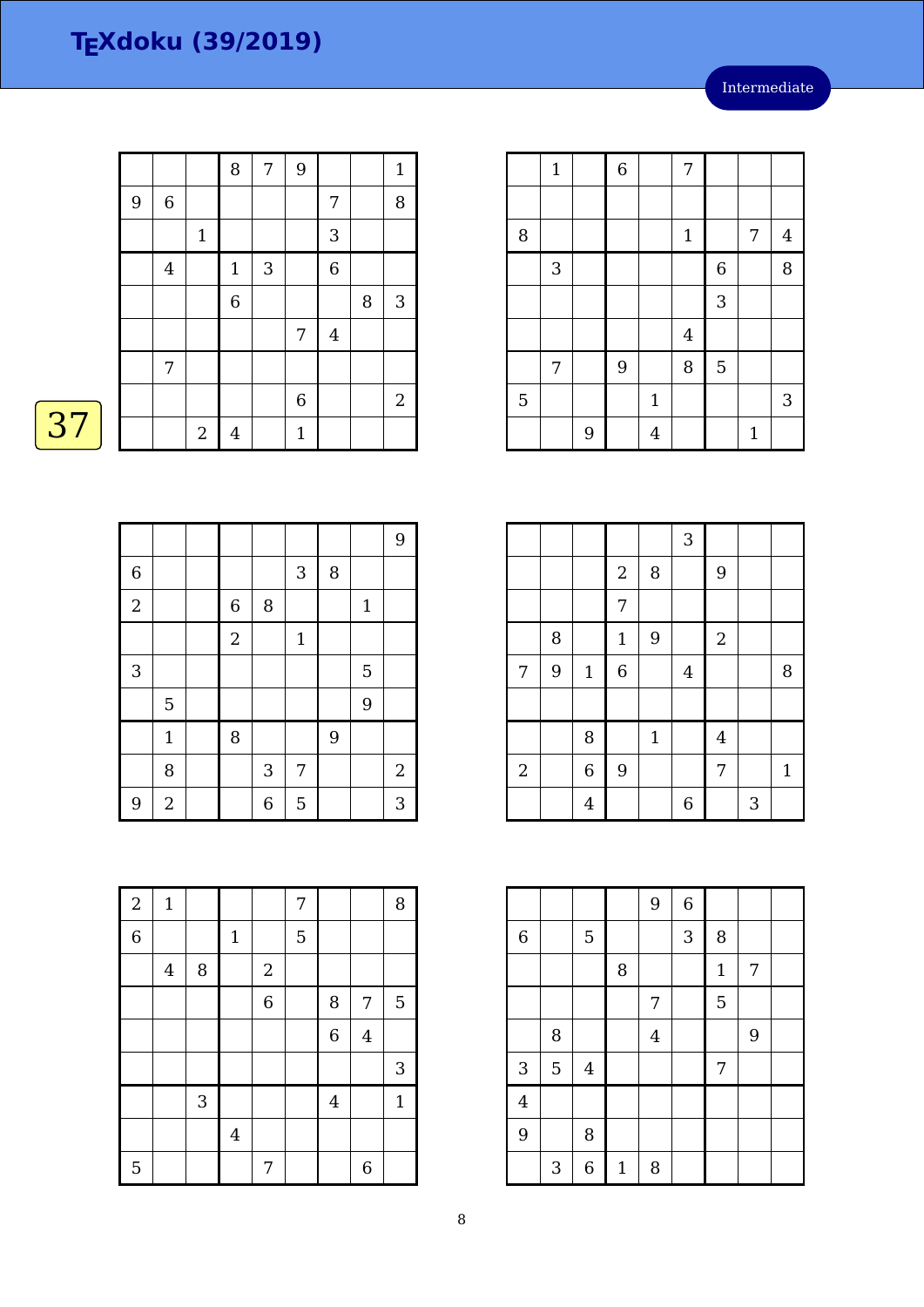Intermediate

|    |   |                  |                | 8     | 7 | 9            |            |   | $\mathbf{1}$ |
|----|---|------------------|----------------|-------|---|--------------|------------|---|--------------|
|    | 9 | $\,6\,$          |                |       |   |              | 7          |   | 8            |
|    |   |                  | $\mathbf 1$    |       |   |              | $\sqrt{3}$ |   |              |
|    |   | $\boldsymbol{4}$ |                | $1\,$ | 3 |              | 6          |   |              |
|    |   |                  |                | 6     |   |              |            | 8 | $\sqrt{3}$   |
|    |   |                  |                |       |   | 7            | $\bf 4$    |   |              |
|    |   | 7                |                |       |   |              |            |   |              |
|    |   |                  |                |       |   | 6            |            |   | $\sqrt{2}$   |
| 37 |   |                  | $\overline{2}$ | 4     |   | $\mathbf{1}$ |            |   |              |

|                |                |                  |                           |             |        |              | 9          |
|----------------|----------------|------------------|---------------------------|-------------|--------|--------------|------------|
| $\overline{6}$ |                |                  |                           | 3           | $\, 8$ |              |            |
| $\overline{a}$ |                | $\,$ 6 $\,$      | 8                         |             |        | $\mathbf{1}$ |            |
|                |                | $\boldsymbol{2}$ |                           | $\mathbf 1$ |        |              |            |
| 3              |                |                  |                           |             |        | 5            |            |
|                | 5              |                  |                           |             |        | 9            |            |
|                | $\mathbf{1}$   | 8                |                           |             | 9      |              |            |
|                | 8              |                  | $\ensuremath{\mathsf{3}}$ | 7           |        |              | $\sqrt{2}$ |
| 9              | $\overline{2}$ |                  | 6                         | 5           |        |              | 3          |

|   | $\mathbf{1}$ |   | $\overline{6}$ |                | 7              |                |              |                |
|---|--------------|---|----------------|----------------|----------------|----------------|--------------|----------------|
|   |              |   |                |                |                |                |              |                |
| 8 |              |   |                |                | $\mathbf{1}$   |                | 7            | $\overline{4}$ |
|   | $\mathbf{3}$ |   |                |                |                | $\overline{6}$ |              | 8              |
|   |              |   |                |                |                | 3              |              |                |
|   |              |   |                |                | $\overline{4}$ |                |              |                |
|   | 7            |   | 9              |                | 8              | 5              |              |                |
| 5 |              |   |                | $\mathbf{1}$   |                |                |              | 3              |
|   |              | 9 |                | $\overline{4}$ |                |                | $\mathbf{1}$ |                |

|                |   |                |                |             | 3              |                |   |              |
|----------------|---|----------------|----------------|-------------|----------------|----------------|---|--------------|
|                |   |                | $\sqrt{2}$     | 8           |                | 9              |   |              |
|                |   |                | 7              |             |                |                |   |              |
|                | 8 |                | $\mathbf 1$    | 9           |                | $\mathbf 2$    |   |              |
| 7              | 9 | $\mathbf 1$    | $\overline{6}$ |             | $\overline{4}$ |                |   | 8            |
|                |   |                |                |             |                |                |   |              |
|                |   | 8              |                | $\mathbf 1$ |                | $\overline{4}$ |   |              |
| $\overline{2}$ |   | $\overline{6}$ | 9              |             |                | $\overline{7}$ |   | $\mathbf{1}$ |
|                |   | $\overline{4}$ |                |             | $\overline{6}$ |                | 3 |              |

|                |                           |                         |              | 9              | $\overline{6}$ |              |                |  |
|----------------|---------------------------|-------------------------|--------------|----------------|----------------|--------------|----------------|--|
| $\,$ 6 $\,$    |                           | 5                       |              |                | 3              | 8            |                |  |
|                |                           |                         | 8            |                |                | $\mathbf{1}$ | 7              |  |
|                |                           |                         |              | 7              |                | 5            |                |  |
|                | 8                         |                         |              | $\overline{4}$ |                |              | $\overline{9}$ |  |
| 3              | $\overline{5}$            | $\overline{\mathbf{4}}$ |              |                |                | 7            |                |  |
| $\overline{4}$ |                           |                         |              |                |                |              |                |  |
| 9              |                           | 8                       |              |                |                |              |                |  |
|                | $\ensuremath{\mathsf{3}}$ | 6                       | $\mathbf{1}$ | 8              |                |              |                |  |

| $\overline{2}$ | $\mathbf 1$ |            |                |            | 7 |                |                | 8            |
|----------------|-------------|------------|----------------|------------|---|----------------|----------------|--------------|
| $\overline{6}$ |             |            | $1\,$          |            | 5 |                |                |              |
|                | $\bf 4$     | $\, 8$     |                | $\sqrt{2}$ |   |                |                |              |
|                |             |            |                | 6          |   | 8              | 7              | 5            |
|                |             |            |                |            |   | $\overline{6}$ | $\overline{4}$ |              |
|                |             |            |                |            |   |                |                | 3            |
|                |             | $\sqrt{3}$ |                |            |   | $\overline{4}$ |                | $\mathbf{1}$ |
|                |             |            | $\overline{4}$ |            |   |                |                |              |
| 5              |             |            |                | 7          |   |                | 6              |              |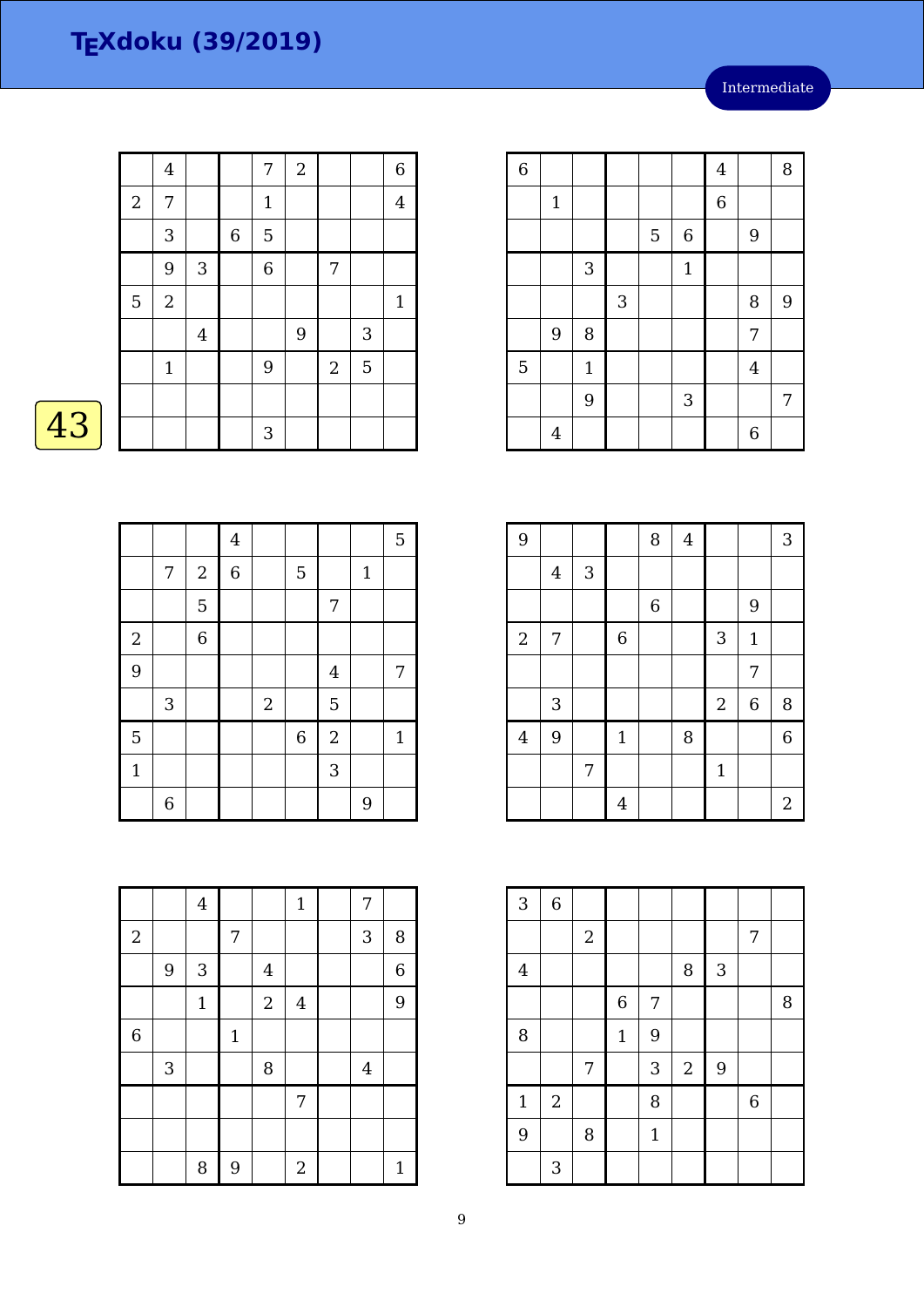|    |                  | $\overline{4}$ |                |             | 7            | $\boldsymbol{2}$ |                |              | 6              |
|----|------------------|----------------|----------------|-------------|--------------|------------------|----------------|--------------|----------------|
|    | $\boldsymbol{2}$ | 7              |                |             | $\mathbf{1}$ |                  |                |              | $\overline{4}$ |
|    |                  | 3              |                | $\,$ 6 $\,$ | 5            |                  |                |              |                |
|    |                  | 9              | $\mathbf{3}$   |             | 6            |                  | 7              |              |                |
|    | 5                | $\overline{2}$ |                |             |              |                  |                |              | $\mathbf{1}$   |
|    |                  |                | $\overline{4}$ |             |              | 9                |                | $\mathbf{3}$ |                |
|    |                  | $\mathbf{1}$   |                |             | 9            |                  | $\overline{2}$ | 5            |                |
|    |                  |                |                |             |              |                  |                |              |                |
| 43 |                  |                |                |             | 3            |                  |                |              |                |

|                         |                |                | $\overline{4}$   |            |                |                |              | 5           |
|-------------------------|----------------|----------------|------------------|------------|----------------|----------------|--------------|-------------|
|                         | 7              | $\sqrt{2}$     | $\boldsymbol{6}$ |            | 5              |                | $\mathbf{1}$ |             |
|                         |                | 5              |                  |            |                | 7              |              |             |
| $\overline{\mathbf{c}}$ |                | $\overline{6}$ |                  |            |                |                |              |             |
| 9                       |                |                |                  |            |                | $\overline{4}$ |              | 7           |
|                         | $\sqrt{3}$     |                |                  | $\sqrt{2}$ |                | 5              |              |             |
| $\overline{5}$          |                |                |                  |            | $\overline{6}$ | $\overline{a}$ |              | $\mathbf 1$ |
| $\mathbf{1}$            |                |                |                  |            |                | $\overline{3}$ |              |             |
|                         | $\overline{6}$ |                |                  |            |                |                | 9            |             |

|                |                           | $\bf 4$      |             |                  | $\mathbf 1$      | 7              |              |
|----------------|---------------------------|--------------|-------------|------------------|------------------|----------------|--------------|
| $\sqrt{2}$     |                           |              | 7           |                  |                  | 3              | 8            |
|                | 9                         | 3            |             | $\overline{4}$   |                  |                | 6            |
|                |                           | $\mathbf{1}$ |             | $\boldsymbol{2}$ | $\bf 4$          |                | 9            |
| $\overline{6}$ |                           |              | $\mathbf 1$ |                  |                  |                |              |
|                | $\ensuremath{\mathsf{3}}$ |              |             | $\, 8$           |                  | $\overline{4}$ |              |
|                |                           |              |             |                  | 7                |                |              |
|                |                           |              |             |                  |                  |                |              |
|                |                           | 8            | 9           |                  | $\boldsymbol{2}$ |                | $\mathbf{1}$ |

| $\overline{6}$ |                |              |   |   |                | $\overline{4}$ |                | 8 |
|----------------|----------------|--------------|---|---|----------------|----------------|----------------|---|
|                | $\mathbf 1$    |              |   |   |                | $\,$ 6 $\,$    |                |   |
|                |                |              |   | 5 | $\overline{6}$ |                | 9              |   |
|                |                | 3            |   |   | $\mathbf{1}$   |                |                |   |
|                |                |              | 3 |   |                |                | 8              | 9 |
|                | 9              | 8            |   |   |                |                | 7              |   |
| 5              |                | $\mathbf{1}$ |   |   |                |                | $\overline{4}$ |   |
|                |                | 9            |   |   | 3              |                |                | 7 |
|                | $\overline{4}$ |              |   |   |                |                | 6              |   |

| 9                |                           |            |                | 8           | $\overline{4}$ |              |              | 3                |
|------------------|---------------------------|------------|----------------|-------------|----------------|--------------|--------------|------------------|
|                  | $\overline{4}$            | $\sqrt{3}$ |                |             |                |              |              |                  |
|                  |                           |            |                | $\,$ 6 $\,$ |                |              | 9            |                  |
| $\boldsymbol{2}$ | $\sqrt{ }$                |            | $\overline{6}$ |             |                | 3            | $\mathbf{1}$ |                  |
|                  |                           |            |                |             |                |              | 7            |                  |
|                  | $\ensuremath{\mathsf{3}}$ |            |                |             |                | $\sqrt{2}$   | $\,$ 6 $\,$  | 8                |
| $\bf 4$          | 9                         |            | $\mathbf{1}$   |             | 8              |              |              | $\overline{6}$   |
|                  |                           | 7          |                |             |                | $\mathbf{1}$ |              |                  |
|                  |                           |            | $\overline{4}$ |             |                |              |              | $\boldsymbol{2}$ |

| 3              | $\,$ 6 $\,$    |            |                  |                |            |                |             |   |
|----------------|----------------|------------|------------------|----------------|------------|----------------|-------------|---|
|                |                | $\sqrt{2}$ |                  |                |            |                | 7           |   |
| $\overline{4}$ |                |            |                  |                | 8          | 3              |             |   |
|                |                |            | $\boldsymbol{6}$ | $\overline{7}$ |            |                |             | 8 |
| 8              |                |            | $\mathbf{1}$     | 9              |            |                |             |   |
|                |                | 7          |                  | 3              | $\sqrt{2}$ | $\overline{9}$ |             |   |
| $\mathbf{1}$   | $\overline{2}$ |            |                  | 8              |            |                | $\,$ 6 $\,$ |   |
| 9              |                | 8          |                  | $\mathbf{1}$   |            |                |             |   |
|                | 3              |            |                  |                |            |                |             |   |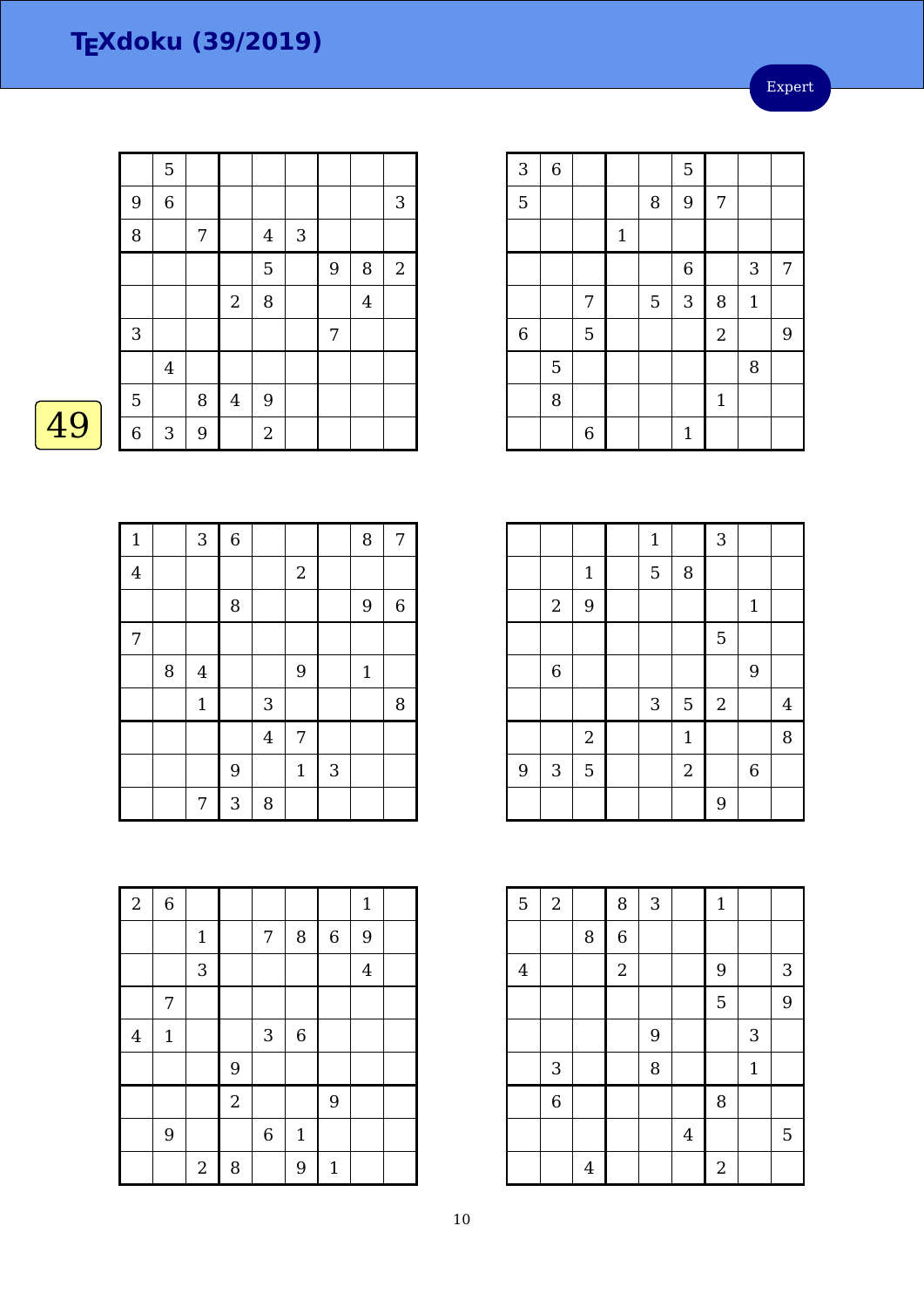Expert

|                           | 5              |   |                  |                |   |   |                |              |
|---------------------------|----------------|---|------------------|----------------|---|---|----------------|--------------|
| 9                         | $\overline{6}$ |   |                  |                |   |   |                | 3            |
| 8                         |                | 7 |                  | $\overline{4}$ | 3 |   |                |              |
|                           |                |   |                  | 5              |   | 9 | 8              | $\mathbf{2}$ |
|                           |                |   | $\boldsymbol{2}$ | 8              |   |   | $\overline{4}$ |              |
| $\ensuremath{\mathsf{3}}$ |                |   |                  |                |   | 7 |                |              |
|                           | $\bf 4$        |   |                  |                |   |   |                |              |
| $\overline{5}$            |                | 8 | $\overline{4}$   | 9              |   |   |                |              |
| $\overline{6}$            | 3              | 9 |                  | $\overline{2}$ |   |   |                |              |

| 3       | $\,$ 6 $\,$ |   |             |   | 5            |                |       |   |
|---------|-------------|---|-------------|---|--------------|----------------|-------|---|
| 5       |             |   |             | 8 | 9            | 7              |       |   |
|         |             |   | $\mathbf 1$ |   |              |                |       |   |
|         |             |   |             |   | $\,$ 6 $\,$  |                | 3     | 7 |
|         |             | 7 |             | 5 | 3            | 8              | $1\,$ |   |
| $\,6\,$ |             | 5 |             |   |              | $\overline{2}$ |       | 9 |
|         | 5           |   |             |   |              |                | 8     |   |
|         | 8           |   |             |   |              | $\mathbf{1}$   |       |   |
|         |             | 6 |             |   | $\mathbf{1}$ |                |       |   |

|   |                           |                | $\mathbf{1}$ |              | 3              |                  |   |
|---|---------------------------|----------------|--------------|--------------|----------------|------------------|---|
|   |                           | $1\,$          | 5            | 8            |                |                  |   |
|   | $\boldsymbol{2}$          | $\overline{9}$ |              |              |                | $\mathbf{1}$     |   |
|   |                           |                |              |              | $\overline{5}$ |                  |   |
|   | $\,$ 6 $\,$               |                |              |              |                | 9                |   |
|   |                           |                | 3            | $\mathbf 5$  | $2\,$          |                  | 4 |
|   |                           | $\sqrt{2}$     |              | $\mathbf{1}$ |                |                  | 8 |
| 9 | $\ensuremath{\mathsf{3}}$ | $\overline{5}$ |              | $\sqrt{2}$   |                | $\boldsymbol{6}$ |   |
|   |                           |                |              |              | 9              |                  |   |

| 5       | $\sqrt{2}$     |                | 8                       | 3 |                | $\mathbf{1}$   |       |   |
|---------|----------------|----------------|-------------------------|---|----------------|----------------|-------|---|
|         |                | 8              | $\overline{6}$          |   |                |                |       |   |
| $\bf 4$ |                |                | $\overline{\mathbf{c}}$ |   |                | 9              |       | 3 |
|         |                |                |                         |   |                | 5              |       | 9 |
|         |                |                |                         | 9 |                |                | 3     |   |
|         | $\sqrt{3}$     |                |                         | 8 |                |                | $1\,$ |   |
|         | $\overline{6}$ |                |                         |   |                | 8              |       |   |
|         |                |                |                         |   | $\overline{4}$ |                |       | 5 |
|         |                | $\overline{4}$ |                         |   |                | $\overline{a}$ |       |   |

| $\mathbf{1}$     |   | 3              | $\,$ 6 $\,$ |                |              |   | 8            | 7           |
|------------------|---|----------------|-------------|----------------|--------------|---|--------------|-------------|
| $\overline{4}$   |   |                |             |                | $\sqrt{2}$   |   |              |             |
|                  |   |                | $\, 8$      |                |              |   | 9            | $\,$ 6 $\,$ |
| $\boldsymbol{7}$ |   |                |             |                |              |   |              |             |
|                  | 8 | $\overline{4}$ |             |                | 9            |   | $\mathbf{1}$ |             |
|                  |   | $\mathbf{1}$   |             | 3              |              |   |              | 8           |
|                  |   |                |             | $\overline{4}$ | 7            |   |              |             |
|                  |   |                | 9           |                | $\mathbf{1}$ | 3 |              |             |
|                  |   | 7              | 3           | 8              |              |   |              |             |

| $\overline{2}$ | $\,$ 6 $\,$  |             |                |                           |                |             | $\mathbf{1}$   |  |
|----------------|--------------|-------------|----------------|---------------------------|----------------|-------------|----------------|--|
|                |              | $\mathbf 1$ |                | 7                         | 8              | $\,$ 6 $\,$ | 9              |  |
|                |              | 3           |                |                           |                |             | $\overline{4}$ |  |
|                | 7            |             |                |                           |                |             |                |  |
| $\overline{4}$ | $\mathbf{1}$ |             |                | $\ensuremath{\mathsf{3}}$ | $\overline{6}$ |             |                |  |
|                |              |             | 9              |                           |                |             |                |  |
|                |              |             | $\overline{2}$ |                           |                | 9           |                |  |
|                | 9            |             |                | $\boldsymbol{6}$          | $\mathbf{1}$   |             |                |  |
|                |              | $\sqrt{2}$  | 8              |                           | 9              | $\mathbf 1$ |                |  |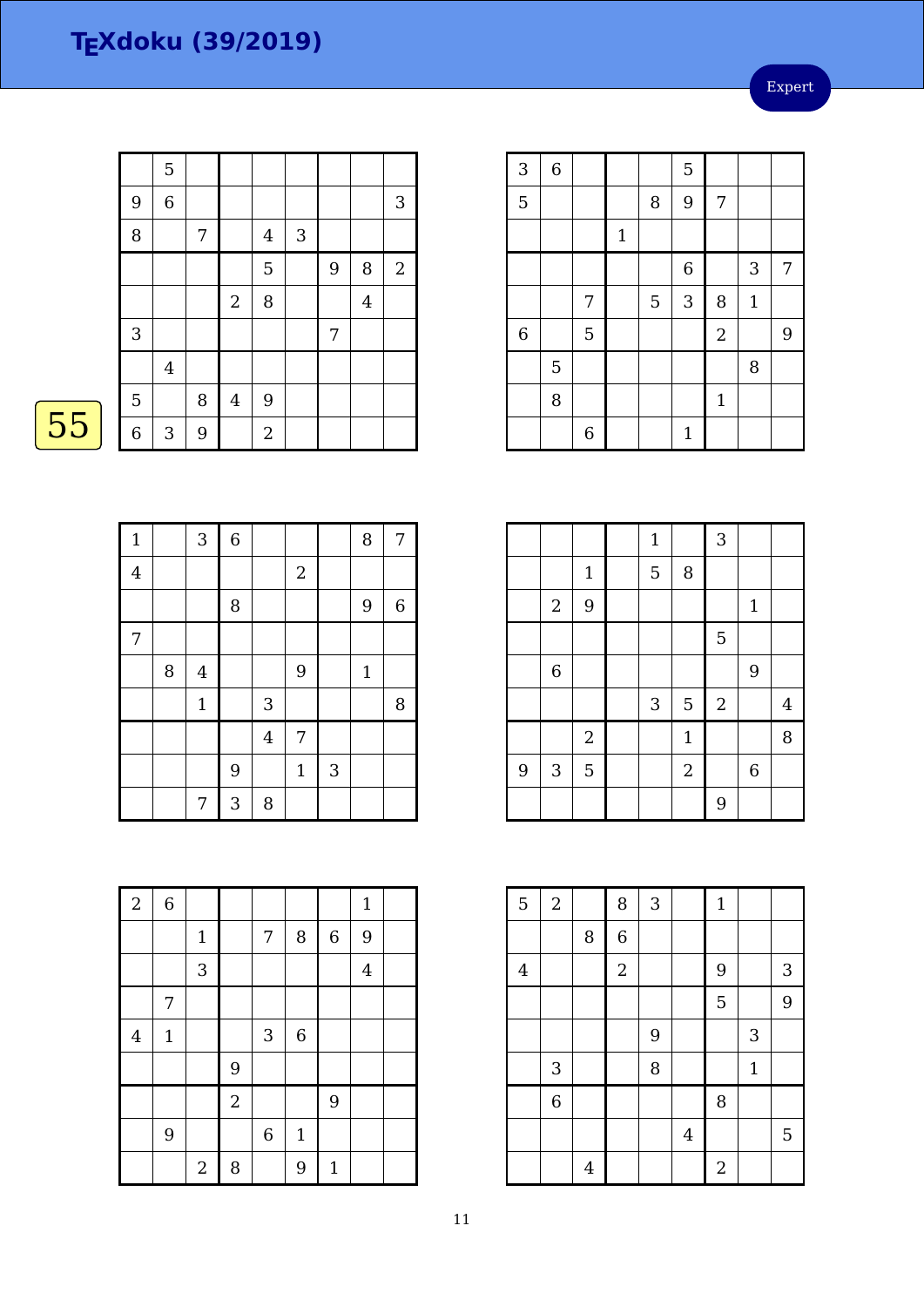Expert

|    |   | $\mathbf 5$               |                |                  |                |   |   |                |              |
|----|---|---------------------------|----------------|------------------|----------------|---|---|----------------|--------------|
|    | 9 | $\,$ 6 $\,$               |                |                  |                |   |   |                | 3            |
|    | 8 |                           | 7              |                  | $\overline{4}$ | 3 |   |                |              |
|    |   |                           |                |                  | 5              |   | 9 | 8              | $\mathbf{2}$ |
|    |   |                           |                | $\boldsymbol{2}$ | 8              |   |   | $\overline{4}$ |              |
|    | 3 |                           |                |                  |                |   | 7 |                |              |
|    |   | $\bf 4$                   |                |                  |                |   |   |                |              |
|    | 5 |                           | $\, 8$         | $\overline{4}$   | $9$            |   |   |                |              |
| 55 | 6 | $\ensuremath{\mathsf{3}}$ | $\overline{9}$ |                  | $\sqrt{2}$     |   |   |                |              |
|    |   |                           |                |                  |                |   |   |                |              |

| 3           | $\,$ 6 $\,$ |                |             |                | 5            |              |              |   |
|-------------|-------------|----------------|-------------|----------------|--------------|--------------|--------------|---|
| 5           |             |                |             | 8              | 9            | 7            |              |   |
|             |             |                | $\mathbf 1$ |                |              |              |              |   |
|             |             |                |             |                | $\,$ 6 $\,$  |              | 3            | 7 |
|             |             | 7              |             | $\overline{5}$ | 3            | 8            | $\mathbf{1}$ |   |
| $\,$ 6 $\,$ |             | $\overline{5}$ |             |                |              | $\sqrt{2}$   |              | 9 |
|             | 5           |                |             |                |              |              | 8            |   |
|             | 8           |                |             |                |              | $\mathbf{1}$ |              |   |
|             |             | $\overline{6}$ |             |                | $\mathbf{1}$ |              |              |   |

|                |              |                | $\mathbf{1}$ |                | 3          |              |                |
|----------------|--------------|----------------|--------------|----------------|------------|--------------|----------------|
|                |              | $\mathbf 1$    | 5            | $\, 8$         |            |              |                |
|                | $\sqrt{2}$   | $9$            |              |                |            | $\mathbf{1}$ |                |
|                |              |                |              |                | 5          |              |                |
|                | $\,$ 6 $\,$  |                |              |                |            | 9            |                |
|                |              |                | $\sqrt{3}$   | $\overline{5}$ | $\sqrt{2}$ |              | $\overline{4}$ |
|                |              | $\overline{2}$ |              | $\mathbf 1$    |            |              | 8              |
| $\overline{9}$ | $\mathbf{3}$ | 5              |              | $\sqrt{2}$     |            | $\,6\,$      |                |
|                |              |                |              |                | 9          |              |                |
|                |              |                |              |                |            |              |                |

| 5       | $\boldsymbol{2}$          |   | 8              | 3 |                | $\mathbf{1}$   |              |   |
|---------|---------------------------|---|----------------|---|----------------|----------------|--------------|---|
|         |                           | 8 | $\overline{6}$ |   |                |                |              |   |
| $\bf 4$ |                           |   | $\sqrt{2}$     |   |                | 9              |              | 3 |
|         |                           |   |                |   |                | 5              |              | 9 |
|         |                           |   |                | 9 |                |                | 3            |   |
|         | $\ensuremath{\mathsf{3}}$ |   |                | 8 |                |                | $\mathbf{1}$ |   |
|         | $\overline{6}$            |   |                |   |                | 8              |              |   |
|         |                           |   |                |   | $\overline{4}$ |                |              | 5 |
|         |                           | 4 |                |   |                | $\overline{2}$ |              |   |

| ٠<br>٠ |
|--------|
|--------|

| $\mathbf{1}$   |   | 3            | $\,$ 6 $\,$    |                |            |   | 8            | 7           |
|----------------|---|--------------|----------------|----------------|------------|---|--------------|-------------|
| $\overline{4}$ |   |              |                |                | $\sqrt{2}$ |   |              |             |
|                |   |              | 8              |                |            |   | 9            | $\,$ 6 $\,$ |
| 7              |   |              |                |                |            |   |              |             |
|                | 8 | $\bf 4$      |                |                | 9          |   | $\mathbf{1}$ |             |
|                |   | $\mathbf{1}$ |                | 3              |            |   |              | 8           |
|                |   |              |                | $\overline{4}$ | 7          |   |              |             |
|                |   |              | $\overline{9}$ |                | $1\,$      | 3 |              |             |
|                |   | 7            | $\mathbf{3}$   | 8              |            |   |              |             |

| $\boldsymbol{2}$ | $\,6\,$      |                |            |                  |             |              | $\mathbf{1}$   |  |
|------------------|--------------|----------------|------------|------------------|-------------|--------------|----------------|--|
|                  |              | $\mathbf 1$    |            | 7                | 8           | $\,$ 6 $\,$  | 9              |  |
|                  |              | 3              |            |                  |             |              | $\overline{4}$ |  |
|                  | 7            |                |            |                  |             |              |                |  |
| $\overline{4}$   | $\mathbf{1}$ |                |            | $\sqrt{3}$       | $\,$ 6 $\,$ |              |                |  |
|                  |              |                | 9          |                  |             |              |                |  |
|                  |              |                | $\sqrt{2}$ |                  |             | 9            |                |  |
|                  | 9            |                |            | $\boldsymbol{6}$ | $\mathbf 1$ |              |                |  |
|                  |              | $\overline{c}$ | 8          |                  | 9           | $\mathbf{1}$ |                |  |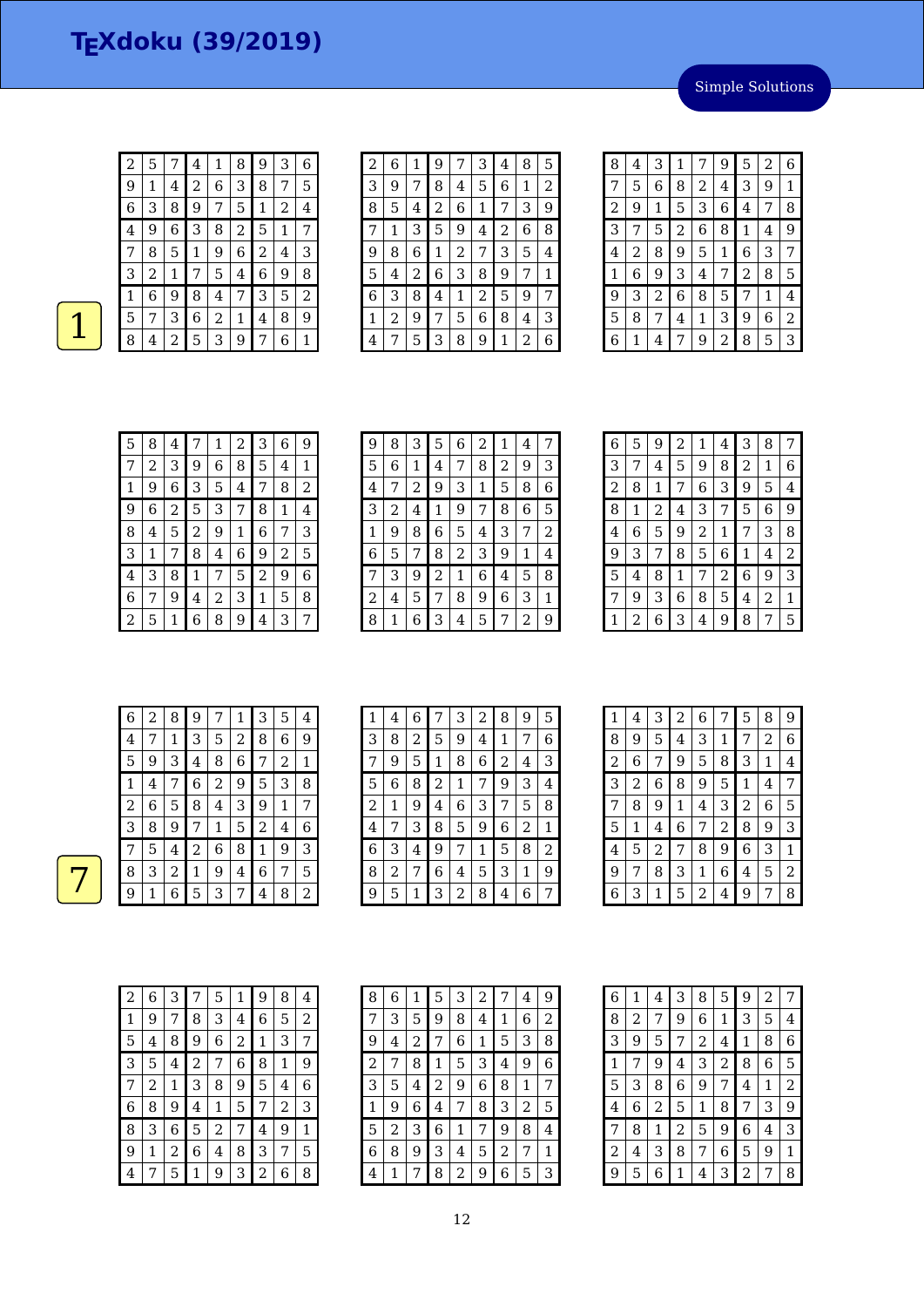Simple Solutions

| 2     | 5 |   | 4 | 1 | 8 | 9 | 3 | 6 |
|-------|---|---|---|---|---|---|---|---|
| 9     | 1 | 4 | 2 | 6 | 3 | 8 | 7 | 5 |
| $\,6$ | 3 | 8 | 9 | 7 | 5 | 1 | 2 | 4 |
| 4     | 9 | 6 | 3 | 8 | 2 | 5 | 1 | 7 |
| 7     | 8 | 5 | 1 | 9 | 6 | 2 | 4 | 3 |
| З     | 2 | 1 | 7 | 5 | 4 | 6 | 9 | 8 |
| 1     | 6 | 9 | 8 | 4 | 7 | 3 | 5 | 2 |
| 5     | 7 | З | 6 | 2 | 1 | 4 | 8 | 9 |
| 8     | 4 | 2 | 5 | З | 9 | 7 | 6 | 1 |

| 2 | 6 | 1 | 9 |   | З | 4 | 8 | 5 |
|---|---|---|---|---|---|---|---|---|
| 3 | 9 | 7 | 8 | 4 | 5 | 6 | 1 | 2 |
| 8 | 5 | 4 | 2 | 6 | 1 | 7 | 3 | 9 |
| 7 | 1 | 3 | 5 | 9 | 4 | 2 | 6 | 8 |
| 9 | 8 | 6 | 1 | 2 | 7 | 3 | 5 | 4 |
| 5 | 4 | 2 | 6 | 3 | 8 | 9 | 7 | 1 |
| 6 | 3 | 8 | 4 | 1 | 2 | 5 | 9 | 7 |
| 1 | 2 | 9 | 7 | 5 | 6 | 8 | 4 | З |
| 4 | 7 | 5 | 3 | 8 | 9 | 1 | 2 | 6 |

| 8              | 4 | 3              | 1              | 7 | 9 | 5 | 2 | 6              |
|----------------|---|----------------|----------------|---|---|---|---|----------------|
| 7              | 5 | 6              | 8              | 2 | 4 | 3 | 9 | 1              |
| $\overline{c}$ | 9 | 1              | 5              | 3 | 6 | 4 | 7 | 8              |
| 3              | 7 | 5              | $\overline{c}$ | 6 | 8 | 1 | 4 | 9              |
| 4              | 2 | 8              | 9              | 5 | 1 | 6 | 3 | 7              |
| $\mathbf{1}$   | 6 | 9              | 3              | 4 | 7 | 2 | 8 | 5              |
| 9              | 3 | $\overline{c}$ | 6              | 8 | 5 | 7 | 1 | 4              |
| 5              | 8 | 7              | 4              | 1 | 3 | 9 | 6 | $\overline{2}$ |
| 6              | 1 | 4              | 7              | 9 | 2 | 8 | 5 | 3              |

| 5 | 8 | 4 | 7 | 1 | 2 | 3 | 6 | 9 |
|---|---|---|---|---|---|---|---|---|
| 7 | 2 | З | 9 | 6 | 8 | 5 | 4 | 1 |
| 1 | 9 | 6 | 3 | 5 | 4 | 7 | 8 | 2 |
| 9 | 6 | 2 | 5 | 3 | 7 | 8 | 1 | 4 |
| 8 | 4 | 5 | 2 | 9 | 1 | 6 | 7 | 3 |
| 3 | 1 | 7 | 8 | 4 | 6 | 9 | 2 | 5 |
| 4 | 3 | 8 | 1 | 7 | 5 | 2 | 9 | 6 |
| 6 |   | 9 | 4 | 2 | 3 | 1 | 5 | 8 |
| 2 | 5 | 1 | 6 | 8 | 9 | 4 | 3 |   |

| 9 | 8 | З | 5 | 6 | 2 | 1 | 4 | 7 |
|---|---|---|---|---|---|---|---|---|
| 5 | 6 | 1 | 4 | 7 | 8 | 2 | 9 | 3 |
| 4 |   | 2 | 9 | 3 | 1 | 5 | 8 | 6 |
| З | 2 | 4 | 1 | 9 | 7 | 8 | 6 | 5 |
| 1 | 9 | 8 | 6 | 5 | 4 | 3 | 7 | 2 |
| 6 | 5 | 7 | 8 | 2 | 3 | 9 | 1 | 4 |
| 7 | З | 9 | 2 | 1 | 6 | 4 | 5 | 8 |
| 2 | 4 | 5 | 7 | 8 | 9 | 6 | 3 | 1 |
| 8 | 1 | 6 | 3 | 4 | 5 | 7 | 2 | 9 |

| 6 | 5 | 9 | $\overline{a}$ | 1 | 4 | 3 | 8 | 7 |
|---|---|---|----------------|---|---|---|---|---|
| 3 | 7 | 4 | 5              | 9 | 8 | 2 | 1 | 6 |
| 2 | 8 | 1 | 7              | 6 | 3 | 9 | 5 | 4 |
| 8 | 1 | 2 | 4              | 3 | 7 | 5 | 6 | 9 |
| 4 | 6 | 5 | 9              | 2 | 1 | 7 | 3 | 8 |
| 9 | З | 7 | 8              | 5 | 6 | 1 | 4 | 2 |
| 5 | 4 | 8 | $\mathbf 1$    | 7 | 2 | 6 | 9 | 3 |
| 7 | 9 | З | 6              | 8 | 5 | 4 | 2 | 1 |
| 1 | 2 | 6 | 3              | 4 | 9 | 8 | 7 | 5 |

|  | 6 | 2 | 8              | 9 | 7 | 1              | 3 | 5           | 4 |
|--|---|---|----------------|---|---|----------------|---|-------------|---|
|  | 4 | 7 | 1              | 3 | 5 | $\overline{2}$ | 8 | 6           | 9 |
|  | 5 | 9 | 3              | 4 | 8 | 6              | 7 | 2           | 1 |
|  | 1 | 4 | 7              | 6 | 2 | 9              | 5 | 3           | 8 |
|  | 2 | 6 | 5              | 8 | 4 | 3              | 9 | $\mathbf 1$ | 7 |
|  | 3 | 8 | 9              | 7 | 1 | 5              | 2 | 4           | 6 |
|  | 7 | 5 | 4              | 2 | 6 | 8              | 1 | 9           | 3 |
|  | 8 | 3 | $\overline{2}$ | 1 | 9 | 4              | 6 | 7           | 5 |
|  | 9 | 1 | 6              | 5 | 3 | 7              | 4 | 8           | 2 |

| 1 | 4 | 6 | 7 | 3 | 2 | 8 | 9 | 5 |
|---|---|---|---|---|---|---|---|---|
| 3 | 8 | 2 | 5 | 9 | 4 | 1 | 7 | 6 |
| 7 | 9 | 5 | 1 | 8 | 6 | 2 | 4 | 3 |
| 5 | 6 | 8 | 2 | 1 |   | 9 | 3 | 4 |
| 2 | 1 | 9 | 4 | 6 | 3 | 7 | 5 | 8 |
| 4 | 7 | 3 | 8 | 5 | 9 | 6 | 2 | 1 |
| 6 | 3 | 4 | 9 | 7 | 1 | 5 | 8 | 2 |
| 8 | 2 | 7 | 6 | 4 | 5 | 3 | 1 | 9 |
| 9 | 5 |   | 3 | 2 | 8 | 4 | 6 | 7 |

| 1              | 4              | З              | 2 | 6              | 7              | 5              | 8              | 9              |
|----------------|----------------|----------------|---|----------------|----------------|----------------|----------------|----------------|
| 8              | 9              | 5              | 4 | 3              | 1              | 7              | $\overline{2}$ | 6              |
| $\overline{c}$ | 6              | 7              | 9 | 5              | 8              | 3              | 1              | 4              |
| 3              | $\overline{c}$ | 6              | 8 | 9              | 5              | 1              | 4              | 7              |
| 7              | 8              | 9              | 1 | 4              | 3              | $\overline{2}$ | 6              | 5              |
| 5              | 1              | 4              | 6 | 7              | $\overline{c}$ | 8              | 9              | 3              |
| 4              | 5              | $\overline{c}$ | 7 | 8              | 9              | 6              | 3              | 1              |
| 9              | 7              | 8              | 3 | 1              | 6              | 4              | 5              | $\overline{2}$ |
| 6              | 3              | 1              | 5 | $\overline{2}$ | 4              | 9              | 7              | 8              |

| 2                       | 6 | 3 | 7 | 5 | 1 | 9 | 8 | 4 |
|-------------------------|---|---|---|---|---|---|---|---|
| 1                       | 9 | 7 | 8 | 3 | 4 | 6 | 5 | 2 |
| 5                       | 4 | 8 | 9 | 6 | 2 | 1 | 3 | 7 |
| 3                       | 5 | 4 | 2 | 7 | 6 | 8 | 1 | 9 |
|                         | 2 | 1 | 3 | 8 | 9 | 5 | 4 | 6 |
| 6                       | 8 | 9 | 4 | 1 | 5 | 7 | 2 | 3 |
| 8                       | З | 6 | 5 | 2 | 7 | 4 | 9 | 1 |
| 9                       | 1 | 2 | 6 | 4 | 8 | 3 | 7 | 5 |
| $\overline{\mathbf{4}}$ |   | 5 | 1 | 9 | 3 | 2 | 6 | 8 |

| 8              | 6 | 1 | 5 | 3 | $\overline{c}$ | 7 | $\overline{4}$ | 9 |
|----------------|---|---|---|---|----------------|---|----------------|---|
| 7              | 3 | 5 | 9 | 8 | 4              | 1 | 6              | 2 |
| 9              | 4 | 2 | 7 | 6 | 1              | 5 | 3              | 8 |
| $\overline{c}$ | 7 | 8 | 1 | 5 | 3              | 4 | 9              | 6 |
| 3              | 5 | 4 | 2 | 9 | 6              | 8 | 1              | 7 |
| 1              | 9 | 6 | 4 | 7 | 8              | З | 2              | 5 |
| 5              | 2 | З | 6 | 1 | 7              | 9 | 8              | 4 |
| 6              | 8 | 9 | З | 4 | 5              | 2 | 7              | 1 |
| 4              | 1 | 7 | 8 | 2 | 9              | 6 | 5              | З |

| 6 | 1 | 4 | З              | 8            | 5              | 9                | 2 | 7              |
|---|---|---|----------------|--------------|----------------|------------------|---|----------------|
| 8 | 2 | 7 | 9              | 6            | 1              | 3                | 5 | 4              |
| 3 | 9 | 5 | 7              | 2            | 4              | 1                | 8 | 6              |
| 1 | 7 | 9 | 4              | 3            | $\overline{c}$ | 8                | 6 | 5              |
| 5 | З | 8 | 6              | 9            | 7              | 4                | 1 | $\overline{c}$ |
| 4 | 6 | 2 | 5              | $\mathbf{1}$ | 8              | 7                | 3 | 9              |
| 7 | 8 | 1 | $\overline{c}$ | 5            | 9              | $\boldsymbol{6}$ | 4 | З              |
| 2 | 4 | З | 8              | 7            | 6              | 5                | 9 | 1              |
| 9 | 5 | 6 | 1              | 4            | 3              | $\overline{c}$   | 7 | 8              |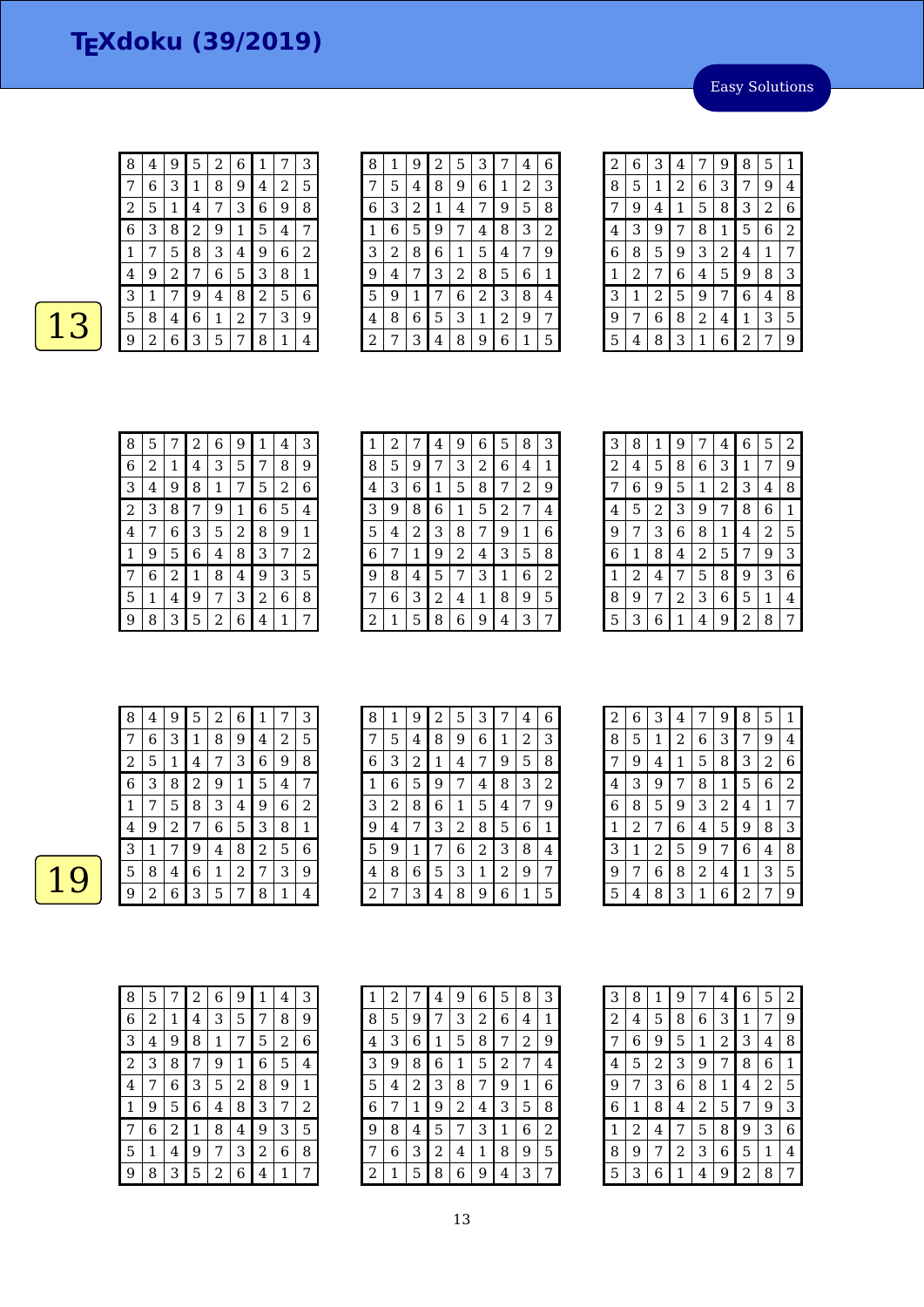Easy Solutions

| 8 | 4 | 9 | 5 | 2 | 6 |   |   | З | 8 |   | 9      | ∠ | 5 | З |   | 4 | 6 |
|---|---|---|---|---|---|---|---|---|---|---|--------|---|---|---|---|---|---|
| 7 | 6 | З | 1 | 8 | 9 | 4 | 2 | 5 | 7 | 5 | 4      | 8 | 9 | 6 | 1 | 2 | 3 |
| 2 | 5 | 1 | 4 | 7 | З | 6 | 9 | 8 | 6 | 3 | ∍<br>∠ |   | 4 | 7 | 9 | 5 | 8 |
| 6 | З | 8 | 2 | 9 | 1 | 5 | 4 | 7 |   | 6 | 5      | 9 | 7 | 4 | 8 | 3 | 2 |
| 1 | 7 | 5 | 8 | 3 | 4 | 9 | 6 | 2 | З | 2 | 8      | 6 | 1 | 5 | 4 | 7 | 9 |
| 4 | 9 | 2 | 7 | 6 | 5 | 3 | 8 | 1 | 9 | 4 | ⇁      | З | 2 | 8 | 5 | 6 | 1 |
| 3 |   | 7 | 9 | 4 | 8 | 2 | 5 | 6 | 5 | 9 |        |   | 6 | 2 | 3 | 8 | 4 |
| 5 | 8 | 4 | 6 | 1 | 2 | 7 | 3 | 9 | 4 | 8 | 6      | 5 | З | 1 | 2 | 9 | 7 |
| 9 | 2 | 6 | 3 | 5 | 7 | 8 | 1 | 4 | っ |   | 3      | 4 | 8 | 9 | 6 | 1 | 5 |

| 2 | 6              | 3 | 4              | 7 | 9 | 8 | 5 | 1 |
|---|----------------|---|----------------|---|---|---|---|---|
| 8 | 5              | 1 | $\overline{c}$ | 6 | 3 | 7 | 9 | 4 |
| 7 | 9              | 4 | 1              | 5 | 8 | 3 | 2 | 6 |
| 4 | 3              | 9 | 7              | 8 | 1 | 5 | 6 | 2 |
| 6 | 8              | 5 | 9              | 3 | 2 | 4 | 1 | 7 |
| 1 | $\overline{c}$ | 7 | 6              | 4 | 5 | 9 | 8 | 3 |
| 3 | 1              | 2 | 5              | 9 | 7 | 6 | 4 | 8 |
| 9 | 7              | 6 | 8              | 2 | 4 | 1 | 3 | 5 |
| 5 | 4              | 8 | 3              | 1 | 6 | 2 | 7 | 9 |

| 8           | 5 |   | 2 | 6           | 9 | 1 | 4 | 3 |
|-------------|---|---|---|-------------|---|---|---|---|
| 6           | 2 | 1 | 4 | 3           | 5 | 7 | 8 | 9 |
| 3           | 4 | 9 | 8 | $\mathbf 1$ | 7 | 5 | 2 | 6 |
| 2           | З | 8 | 7 | 9           | 1 | 6 | 5 | 4 |
| 4           |   | 6 | 3 | 5           | 2 | 8 | 9 | 1 |
| $\mathbf 1$ | 9 | 5 | 6 | 4           | 8 | 3 | 7 | 2 |
| 7           | 6 | 2 | 1 | 8           | 4 | 9 | 3 | 5 |
| 5           | 1 | 4 | 9 | 7           | 3 | 2 | 6 | 8 |
| 9           | 8 | 3 | 5 | 2           | 6 | 4 | 1 | 7 |

| 1 | 2 |   | 4 | 9 | 6 | 5 | 8 | 3 |
|---|---|---|---|---|---|---|---|---|
| 8 | 5 | 9 | 7 | 3 | 2 | 6 | 4 | 1 |
| 4 | 3 | 6 | 1 | 5 | 8 | 7 | 2 | 9 |
| 3 | 9 | 8 | 6 | 1 | 5 | 2 | 7 | 4 |
| 5 | 4 | 2 | 3 | 8 | 7 | 9 | 1 | 6 |
| 6 | 7 | 1 | 9 | 2 | 4 | 3 | 5 | 8 |
| 9 | 8 | 4 | 5 | 7 | 3 | 1 | 6 | 2 |
| 7 | 6 | З | 2 | 4 | 1 | 8 | 9 | 5 |
| 2 | 1 | 5 | 8 | 6 | 9 | 4 | 3 | 7 |

| 3 | 8 | 1 | 9 | 7 | 4 | 6 | 5 | 2           |
|---|---|---|---|---|---|---|---|-------------|
| 2 | 4 | 5 | 8 | 6 | 3 | 1 | 7 | 9           |
| 7 | 6 | 9 | 5 | 1 | 2 | 3 | 4 | 8           |
| 4 | 5 | 2 | 3 | 9 | 7 | 8 | 6 | $\mathbf 1$ |
| 9 | 7 | 3 | 6 | 8 | 1 | 4 | 2 | 5           |
| 6 | 1 | 8 | 4 | 2 | 5 | 7 | 9 | 3           |
| 1 | 2 | 4 | 7 | 5 | 8 | 9 | 3 | 6           |
| 8 | 9 | 7 | 2 | 3 | 6 | 5 | 1 | 4           |
| 5 | 3 | 6 | 1 | 4 | 9 | 2 | 8 | 7           |

| 8 | 4 | 9 | 5 | 2 | 6 | 1 |   | З |
|---|---|---|---|---|---|---|---|---|
|   | 6 | 3 | 1 | 8 | 9 | 4 | 2 | 5 |
| 2 | 5 | 1 | 4 | 7 | З | 6 | 9 | 8 |
| 6 | З | 8 | 2 | 9 | 1 | 5 | 4 | 7 |
| 1 | 7 | 5 | 8 | З | 4 | 9 | 6 | 2 |
| 4 | 9 | 2 | 7 | 6 | 5 | 3 | 8 | 1 |
| 3 | 1 | 7 | 9 | 4 | 8 | 2 | 5 | 6 |
| 5 | 8 | 4 | 6 | 1 | 2 | 7 | 3 | 9 |
| g | 2 | 6 | З | 5 | 7 | 8 | 1 | 4 |

| 8 | 1 | 9              | 2           | 5 | З | 7 | 4 | 6              |
|---|---|----------------|-------------|---|---|---|---|----------------|
| 7 | 5 | $\overline{4}$ | 8           | 9 | 6 | 1 | 2 | 3              |
| 6 | 3 | 2              | $\mathbf 1$ | 4 | 7 | 9 | 5 | 8              |
| 1 | 6 | 5              | 9           | 7 | 4 | 8 | 3 | $\overline{2}$ |
| З | 2 | 8              | 6           | 1 | 5 | 4 | 7 | 9              |
| 9 | 4 | 7              | 3           | 2 | 8 | 5 | 6 | 1              |
| 5 | 9 | 1              | 7           | 6 | 2 | 3 | 8 | 4              |
| 4 | 8 | 6              | 5           | 3 | 1 | 2 | 9 | 7              |
| 2 |   | 3              | 4           | 8 | 9 | 6 | 1 | 5              |

| 2 | 6              | 3              | 4 | 7 | 9              | 8              | 5 | 1              |
|---|----------------|----------------|---|---|----------------|----------------|---|----------------|
| 8 | 5              | 1              | 2 | 6 | 3              | 7              | 9 | 4              |
| 7 | 9              | 4              | 1 | 5 | 8              | 3              | 2 | 6              |
| 4 | 3              | 9              | 7 | 8 | $\mathbf{1}$   | 5              | 6 | $\overline{2}$ |
| 6 | 8              | 5              | 9 | 3 | $\overline{c}$ | 4              | 1 | 7              |
| 1 | $\overline{c}$ | 7              | 6 | 4 | 5              | 9              | 8 | 3              |
| 3 | 1              | $\overline{c}$ | 5 | 9 | 7              | 6              | 4 | 8              |
| 9 | 7              | 6              | 8 | 2 | 4              | 1              | 3 | 5              |
| 5 | 4              | 8              | 3 | 1 | 6              | $\overline{2}$ | 7 | 9              |

| 8 | 5 |   | 2 | 6              | 9 | 1 | 4 | З |
|---|---|---|---|----------------|---|---|---|---|
| 6 | 2 | 1 | 4 | 3              | 5 | 7 | 8 | 9 |
| 3 | 4 | 9 | 8 | 1              | 7 | 5 | 2 | 6 |
| 2 | 3 | 8 | 7 | 9              | 1 | 6 | 5 | 4 |
| 4 | 7 | 6 | 3 | 5              | 2 | 8 | 9 | 1 |
| 1 | 9 | 5 | 6 | 4              | 8 | 3 | 7 | 2 |
| 7 | 6 | 2 | 1 | 8              | 4 | 9 | З | 5 |
| 5 | 1 | 4 | 9 | 7              | 3 | 2 | 6 | 8 |
| 9 | 8 | З | 5 | $\overline{c}$ | 6 | 4 | 1 | 7 |

| 1 | $\overline{2}$ |   | 4 | 9 | 6 | 5 | 8 | 3 |
|---|----------------|---|---|---|---|---|---|---|
| 8 | 5              | 9 | 7 | 3 | 2 | 6 | 4 | 1 |
| 4 | 3              | 6 | 1 | 5 | 8 | 7 | 2 | 9 |
| З | 9              | 8 | 6 | 1 | 5 | 2 | 7 | 4 |
| 5 | 4              | 2 | З | 8 | 7 | 9 | 1 | 6 |
| 6 | 7              | 1 | 9 | 2 | 4 | З | 5 | 8 |
| 9 | 8              | 4 | 5 | 7 | З | 1 | 6 | 2 |
| 7 | 6              | З | 2 | 4 | 1 | 8 | 9 | 5 |
| 2 | 1              | 5 | 8 | 6 | 9 | 4 | 3 | 7 |

| 3 | 8 | 1 | 9 | 7 | 4              | 6 | 5              | 2 |
|---|---|---|---|---|----------------|---|----------------|---|
| 2 | 4 | 5 | 8 | 6 | 3              | 1 | 7              | 9 |
| 7 | 6 | 9 | 5 | 1 | $\overline{c}$ | 3 | 4              | 8 |
| 4 | 5 | 2 | 3 | 9 | 7              | 8 | 6              | 1 |
| 9 | 7 | З | 6 | 8 | 1              | 4 | $\overline{c}$ | 5 |
| 6 | 1 | 8 | 4 | 2 | 5              | 7 | 9              | 3 |
| 1 | 2 | 4 | 7 | 5 | 8              | 9 | 3              | 6 |
| 8 | 9 | 7 | 2 | 3 | 6              | 5 | 1              | 4 |
| 5 | З | 6 | 1 | 4 | 9              | 2 | 8              | 7 |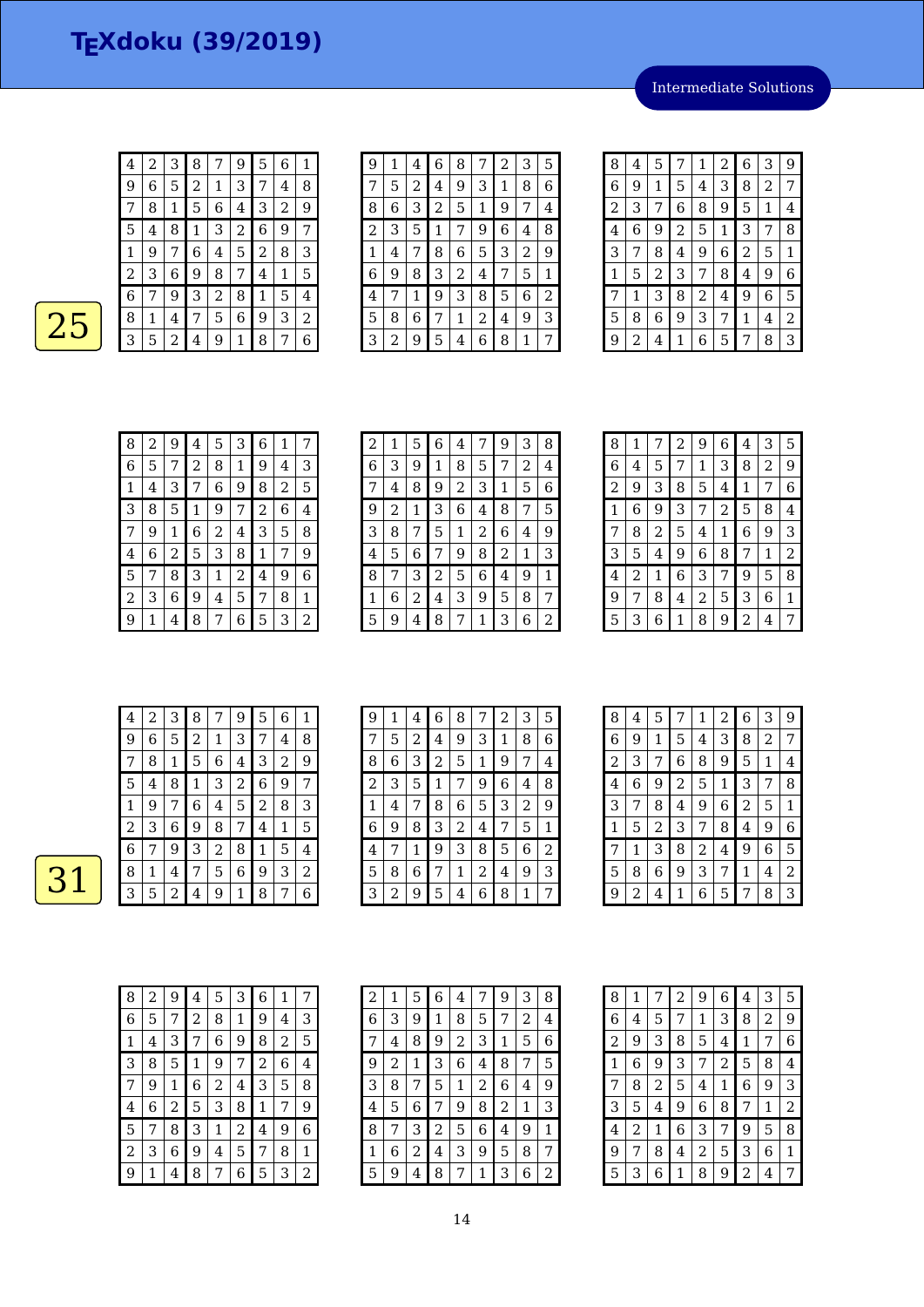Intermediate Solutions

| 4 | 2 | 3 | 8 | 7 | 9              | 5 | 6 | 1 |
|---|---|---|---|---|----------------|---|---|---|
| 9 | 6 | 5 | 2 | 1 | З              | 7 | 4 | 8 |
|   | 8 | 1 | 5 | 6 | 4              | З | 2 | 9 |
| 5 | 4 | 8 | 1 | 3 | $\overline{c}$ | 6 | 9 | 7 |
| 1 | 9 | 7 | 6 | 4 | 5              | 2 | 8 | 3 |
| 2 | 3 | 6 | 9 | 8 | 7              | 4 | 1 | 5 |
| 6 | 7 | 9 | 3 | 2 | 8              | 1 | 5 | 4 |
| 8 | 1 | 4 | 7 | 5 | 6              | 9 | 3 | 2 |
| 3 | 5 | 2 | 4 | 9 | 1              | 8 | 7 | 6 |

 $\overline{25}$ 

| g | 1 | 4 | 6 | 8 | 7 | $\overline{c}$ | 3 | 5 |
|---|---|---|---|---|---|----------------|---|---|
| 7 | 5 | 2 | 4 | 9 | 3 | 1              | 8 | 6 |
| 8 | 6 | 3 | 2 | 5 | 1 | 9              | 7 | 4 |
| 2 | 3 | 5 | 1 | 7 | 9 | 6              | 4 | 8 |
| 1 | 4 | 7 | 8 | 6 | 5 | 3              | 2 | 9 |
| 6 | 9 | 8 | 3 | 2 | 4 | 7              | 5 | 1 |
| 4 | 7 | 1 | 9 | 3 | 8 | 5              | 6 | 2 |
| 5 | 8 | 6 | 7 | 1 | 2 | 4              | 9 | 3 |
| 3 | 2 | 9 | 5 | 4 | 6 | 8              | 1 | 7 |

| 8 | 4 | 5 | 7              | 1              | 2 | 6 | 3              | 9 |
|---|---|---|----------------|----------------|---|---|----------------|---|
| 6 | 9 | 1 | 5              | 4              | 3 | 8 | $\overline{a}$ | 7 |
| 2 | 3 | 7 | 6              | 8              | 9 | 5 | 1              | 4 |
| 4 | 6 | 9 | $\overline{2}$ | 5              | 1 | 3 | 7              | 8 |
| 3 | 7 | 8 | 4              | 9              | 6 | 2 | 5              | 1 |
| 1 | 5 | 2 | 3              | 7              | 8 | 4 | 9              | 6 |
| 7 | 1 | 3 | 8              | $\overline{c}$ | 4 | 9 | 6              | 5 |
| 5 | 8 | 6 | 9              | 3              | 7 | 1 | 4              | 2 |
| 9 | 2 | 4 | 1              | 6              | 5 | 7 | 8              | 3 |

| 8 | 2              | 9 | 4 | 5 | 3 | 6              | 1 | 7 |
|---|----------------|---|---|---|---|----------------|---|---|
| 6 | 5              |   | 2 | 8 | 1 | 9              | 4 | 3 |
| 1 | $\overline{4}$ | 3 | 7 | 6 | 9 | 8              | 2 | 5 |
| З | 8              | 5 | 1 | 9 | 7 | $\overline{2}$ | 6 | 4 |
| 7 | 9              | 1 | 6 | 2 | 4 | 3              | 5 | 8 |
| 4 | 6              | 2 | 5 | 3 | 8 | 1              | 7 | 9 |
| 5 |                | 8 | 3 | 1 | 2 | 4              | 9 | 6 |
| 2 | З              | 6 | 9 | 4 | 5 | 7              | 8 | 1 |
| 9 |                | 4 | 8 | 7 | 6 | 5              | 3 | 2 |

| $\overline{c}$ | 1 | 5 | 6 | 4 | 7              | 9 | 3 | 8 |
|----------------|---|---|---|---|----------------|---|---|---|
| 6              | 3 | 9 | 1 | 8 | 5              | 7 | 2 | 4 |
| 7              | 4 | 8 | 9 | 2 | 3              | 1 | 5 | 6 |
| 9              | 2 | 1 | 3 | 6 | 4              | 8 | 7 | 5 |
| З              | 8 | 7 | 5 | 1 | $\overline{2}$ | 6 | 4 | 9 |
| 4              | 5 | 6 | 7 | 9 | 8              | 2 | 1 | 3 |
| 8              | 7 | 3 | 2 | 5 | 6              | 4 | 9 | 1 |
| 1              | 6 | 2 | 4 | 3 | 9              | 5 | 8 | 7 |
| 5              | 9 | 4 | 8 | 7 | 1              | 3 | 6 | 2 |

| 8 | 1 | 7              | 2 | 9 | 6 | 4 | 3 | 5 |
|---|---|----------------|---|---|---|---|---|---|
| 6 | 4 | 5              | 7 | 1 | 3 | 8 | 2 | 9 |
| 2 | 9 | 3              | 8 | 5 | 4 | 1 | 7 | 6 |
| 1 | 6 | 9              | 3 | 7 | 2 | 5 | 8 | 4 |
| 7 | 8 | $\overline{2}$ | 5 | 4 | 1 | 6 | 9 | 3 |
| 3 | 5 | 4              | 9 | 6 | 8 | 7 | 1 | 2 |
| 4 | 2 | 1              | 6 | 3 | 7 | 9 | 5 | 8 |
| 9 | 7 | 8              | 4 | 2 | 5 | З | 6 | 1 |
| 5 | 3 | 6              | 1 | 8 | 9 | 2 | 4 | 7 |

| 4 | 2 | 3 | 8              |   | 9              | 5 | 6 | 1 |
|---|---|---|----------------|---|----------------|---|---|---|
| 9 | 6 | 5 | $\overline{2}$ | 1 | З              | 7 | 4 | 8 |
|   | 8 | 1 | 5              | 6 | 4              | З | 2 | 9 |
| 5 | 4 | 8 | 1              | З | $\overline{2}$ | 6 | 9 | 7 |
| 1 | 9 | 7 | 6              | 4 | 5              | 2 | 8 | 3 |
| 2 | З | 6 | 9              | 8 | 7              | 4 | 1 | 5 |
| 6 | 7 | 9 | 3              | 2 | 8              | 1 | 5 | 4 |
| 8 | 1 | 4 | 7              | 5 | 6              | 9 | З | 2 |
| З | 5 | 2 | 4              | 9 | 1              | 8 | 7 | 6 |

| 9 | 1 | 4 | 6 | 8              | 7 | $\overline{2}$ | 3 | 5 |
|---|---|---|---|----------------|---|----------------|---|---|
| 7 | 5 | 2 | 4 | 9              | 3 | 1              | 8 | 6 |
| 8 | 6 | 3 | 2 | 5              | 1 | 9              | 7 | 4 |
| 2 | 3 | 5 | 1 | 7              | 9 | 6              | 4 | 8 |
| 1 | 4 | 7 | 8 | 6              | 5 | 3              | 2 | 9 |
| 6 | 9 | 8 | 3 | $\overline{2}$ | 4 | 7              | 5 | 1 |
| 4 | 7 | 1 | 9 | 3              | 8 | 5              | 6 | 2 |
| 5 | 8 | 6 | 7 | 1              | 2 | 4              | 9 | 3 |
| 3 | 2 | 9 | 5 | 4              | 6 | 8              | 1 | 7 |

| 8              | 4 | 5 |   | 1 | 2 | 6 | З | 9 |
|----------------|---|---|---|---|---|---|---|---|
| 6              | 9 | 1 | 5 | 4 | 3 | 8 | 2 | 7 |
| $\overline{c}$ | 3 | 7 | 6 | 8 | 9 | 5 | 1 | 4 |
| 4              | 6 | 9 | 2 | 5 | 1 | 3 | 7 | 8 |
| 3              |   | 8 | 4 | 9 | 6 | 2 | 5 | 1 |
| 1              | 5 | 2 | 3 | 7 | 8 | 4 | 9 | 6 |
| 7              | 1 | З | 8 | 2 | 4 | 9 | 6 | 5 |
| 5              | 8 | 6 | 9 | 3 | 7 | 1 | 4 | 2 |
| 9              | 2 | 4 | 1 | 6 | 5 | 7 | 8 | 3 |

| 8              | 2 | 9 | 4           | 5 | 3 | 6              | 1              | 7 |
|----------------|---|---|-------------|---|---|----------------|----------------|---|
| 6              | 5 | 7 | 2           | 8 | 1 | 9              | 4              | 3 |
| 1              | 4 | 3 | 7           | 6 | 9 | 8              | $\overline{c}$ | 5 |
| 3              | 8 | 5 | $\mathbf 1$ | 9 | 7 | $\overline{2}$ | 6              | 4 |
| 7              | 9 | 1 | 6           | 2 | 4 | 3              | 5              | 8 |
| 4              | 6 | 2 | 5           | 3 | 8 | 1              | 7              | 9 |
| 5              | 7 | 8 | 3           | 1 | 2 | 4              | 9              | 6 |
| $\overline{c}$ | 3 | 6 | 9           | 4 | 5 | 7              | 8              | 1 |
| 9              | 1 | 4 | 8           | 7 | 6 | 5              | 3              | 2 |

| 2 | 1 | 5 | 6 | 4 | 7 | 9 | 3 | 8 |
|---|---|---|---|---|---|---|---|---|
| 6 | З | 9 | 1 | 8 | 5 | 7 | 2 | 4 |
| 7 | 4 | 8 | 9 | 2 | 3 | 1 | 5 | 6 |
| 9 | 2 | 1 | 3 | 6 | 4 | 8 | 7 | 5 |
| З | 8 | 7 | 5 | 1 | 2 | 6 | 4 | 9 |
| 4 | 5 | 6 | 7 | 9 | 8 | 2 | 1 | 3 |
| 8 | 7 | 3 | 2 | 5 | 6 | 4 | 9 | 1 |
| 1 | 6 | 2 | 4 | 3 | 9 | 5 | 8 | 7 |
| 5 | 9 | 4 | 8 | 7 | 1 | 3 | 6 | 2 |

| 8              | 1 |                | 2 | 9 | 6 | 4 | 3              | 5              |
|----------------|---|----------------|---|---|---|---|----------------|----------------|
| 6              | 4 | 5              | 7 | 1 | З | 8 | $\overline{2}$ | 9              |
| $\overline{c}$ | 9 | 3              | 8 | 5 | 4 | 1 | 7              | 6              |
| 1              | 6 | 9              | 3 | 7 | 2 | 5 | 8              | 4              |
| 7              | 8 | $\overline{c}$ | 5 | 4 | 1 | 6 | 9              | 3              |
| 3              | 5 | 4              | 9 | 6 | 8 | 7 | 1              | $\overline{c}$ |
| 4              | 2 | 1              | 6 | 3 | 7 | 9 | 5              | 8              |
| 9              | 7 | 8              | 4 | 2 | 5 | 3 | 6              | 1              |
| 5              | З | 6              | 1 | 8 | 9 | 2 | 4              | 7              |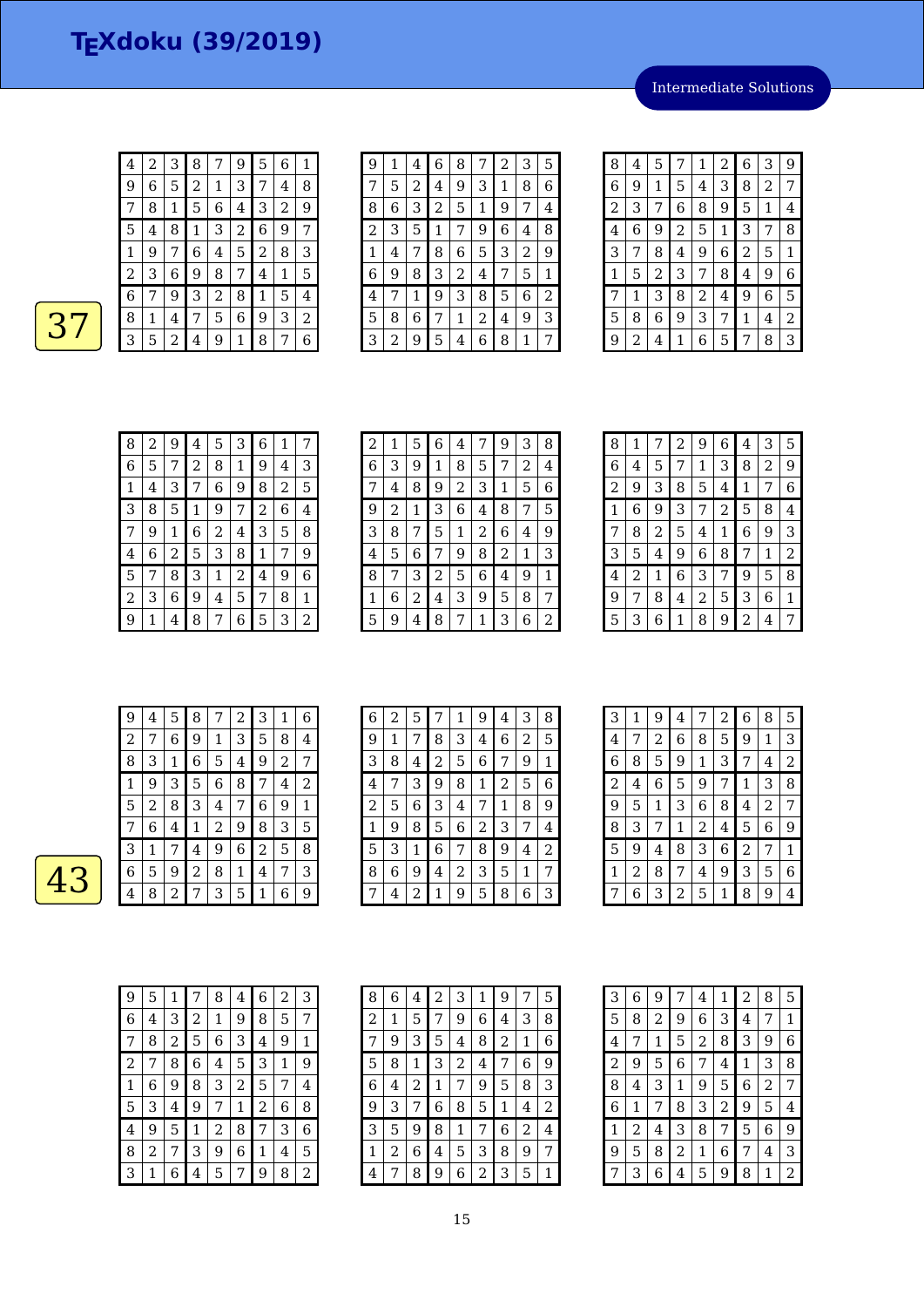Intermediate Solutions

| $\overline{\mathbf{4}}$ | 2 | 3 | 8 | 7 | 9 | 5 | 6 | 1 |
|-------------------------|---|---|---|---|---|---|---|---|
| 9                       | 6 | 5 | 2 | 1 | 3 | 7 | 4 | 8 |
| 7                       | 8 | 1 | 5 | 6 | 4 | З | 2 | 9 |
| 5                       | 4 | 8 | 1 | 3 | 2 | 6 | 9 | 7 |
| 1                       | 9 | 7 | 6 | 4 | 5 | 2 | 8 | З |
| $\overline{c}$          | 3 | 6 | 9 | 8 | 7 | 4 | 1 | 5 |
| 6                       |   | 9 | 3 | 2 | 8 | 1 | 5 | 4 |
| 8                       | 1 | 4 | 7 | 5 | 6 | 9 | 3 | 2 |
| 3                       | 5 | 2 | 4 | 9 | 1 | 8 | 7 | 6 |

| g | 1 | 4 | 6              | 8              | 7 | 2 | З | 5 |
|---|---|---|----------------|----------------|---|---|---|---|
| 7 | 5 | 2 | 4              | 9              | З | 1 | 8 | 6 |
| 8 | 6 | З | $\overline{c}$ | 5              | 1 | 9 | 7 | 4 |
| 2 | З | 5 | 1              | 7              | 9 | 6 | 4 | 8 |
| 1 | 4 | 7 | 8              | 6              | 5 | 3 | 2 | 9 |
| 6 | 9 | 8 | 3              | 2              | 4 |   | 5 | 1 |
| 4 | 7 | 1 | 9              | 3              | 8 | 5 | 6 | 2 |
| 5 | 8 | 6 | 7              | 1              | 2 | 4 | 9 | 3 |
| 3 | 2 | 9 | 5              | $\overline{4}$ | 6 | 8 | 1 | 7 |

| 8 | 4 | 5 | 7              | 1              | 2 | 6 | 3              | 9 |
|---|---|---|----------------|----------------|---|---|----------------|---|
| 6 | 9 | 1 | 5              | 4              | 3 | 8 | $\overline{c}$ | 7 |
| 2 | 3 | 7 | 6              | 8              | 9 | 5 | 1              | 4 |
| 4 | 6 | 9 | $\overline{2}$ | 5              | 1 | 3 | 7              | 8 |
| 3 | 7 | 8 | 4              | 9              | 6 | 2 | 5              | 1 |
| 1 | 5 | 2 | 3              | 7              | 8 | 4 | 9              | 6 |
| 7 | 1 | 3 | 8              | $\overline{c}$ | 4 | 9 | 6              | 5 |
| 5 | 8 | 6 | 9              | 3              | 7 | 1 | 4              | 2 |
| 9 | 2 | 4 | 1              | 6              | 5 | 7 | 8              | 3 |

| 8 | 2              | 9 | 4 | 5 | 3 | 6              | 1 | 7 |
|---|----------------|---|---|---|---|----------------|---|---|
| 6 | 5              |   | 2 | 8 | 1 | 9              | 4 | 3 |
| 1 | $\overline{4}$ | 3 | 7 | 6 | 9 | 8              | 2 | 5 |
| З | 8              | 5 | 1 | 9 | 7 | $\overline{c}$ | 6 | 4 |
| 7 | 9              | 1 | 6 | 2 | 4 | 3              | 5 | 8 |
| 4 | 6              | 2 | 5 | 3 | 8 | 1              | 7 | 9 |
| 5 |                | 8 | 3 | 1 | 2 | 4              | 9 | 6 |
| 2 | З              | 6 | 9 | 4 | 5 | 7              | 8 | 1 |
| 9 |                | 4 | 8 | 7 | 6 | 5              | 3 | 2 |

| $\overline{c}$ | 1 | 5 | 6 | 4 | 7              | 9 | 3 | 8 |
|----------------|---|---|---|---|----------------|---|---|---|
| 6              | 3 | 9 | 1 | 8 | 5              | 7 | 2 | 4 |
|                | 4 | 8 | 9 | 2 | 3              | 1 | 5 | 6 |
| 9              | 2 | 1 | 3 | 6 | 4              | 8 | 7 | 5 |
| З              | 8 | 7 | 5 | 1 | $\overline{2}$ | 6 | 4 | 9 |
| 4              | 5 | 6 | 7 | 9 | 8              | 2 | 1 | З |
| 8              | 7 | З | 2 | 5 | 6              | 4 | 9 | 1 |
| 1              | 6 | 2 | 4 | 3 | 9              | 5 | 8 | 7 |
| 5              | 9 | 4 | 8 | 7 | 1              | 3 | 6 | 2 |

| 8 | 1 | 7 | 2 | 9 | 6 | 4 | 3 | 5 |
|---|---|---|---|---|---|---|---|---|
| 6 | 4 | 5 | 7 | 1 | 3 | 8 | 2 | 9 |
| 2 | 9 | 3 | 8 | 5 | 4 | 1 | 7 | 6 |
| 1 | 6 | 9 | 3 | 7 | 2 | 5 | 8 | 4 |
| 7 | 8 | 2 | 5 | 4 | 1 | 6 | 9 | 3 |
| 3 | 5 | 4 | 9 | 6 | 8 | 7 | 1 | 2 |
| 4 | 2 | 1 | 6 | 3 | 7 | 9 | 5 | 8 |
| 9 | 7 | 8 | 4 | 2 | 5 | З | 6 | 1 |
| 5 | 3 | 6 | 1 | 8 | 9 | 2 | 4 | 7 |

| 9 | 4 | 5            | 8 | 7 | 2 | З                | 1 | 6 |
|---|---|--------------|---|---|---|------------------|---|---|
| 2 | 7 | 6            | 9 | 1 | З | 5                | 8 | 4 |
| 8 | 3 | $\mathbf{1}$ | 6 | 5 | 4 | 9                | 2 | 7 |
| 1 | 9 | 3            | 5 | 6 | 8 | 7                | 4 | 2 |
| 5 | 2 | 8            | 3 | 4 | 7 | 6                | 9 | 1 |
|   | 6 | 4            | 1 | 2 | 9 | 8                | З | 5 |
| 3 | 1 | 7            | 4 | 9 | 6 | $\boldsymbol{2}$ | 5 | 8 |
| 6 | 5 | 9            | 2 | 8 | 1 | 4                | 7 | 3 |
| 4 | 8 | 2            | 7 | З | 5 | 1                | 6 | 9 |

| 6 | 2 | 5 | 7 | 1 | 9 | 4 | 3 | 8 |
|---|---|---|---|---|---|---|---|---|
| 9 | 1 | 7 | 8 | 3 | 4 | 6 | 2 | 5 |
| 3 | 8 | 4 | 2 | 5 | 6 | 7 | 9 | 1 |
| 4 | 7 | 3 | 9 | 8 | 1 | 2 | 5 | 6 |
| 2 | 5 | 6 | 3 | 4 | 7 | 1 | 8 | 9 |
| 1 | 9 | 8 | 5 | 6 | 2 | 3 | 7 | 4 |
| 5 | 3 | 1 | 6 | 7 | 8 | 9 | 4 | 2 |
| 8 | 6 | 9 | 4 | 2 | 3 | 5 | 1 | 7 |
|   | 4 | 2 | 1 | 9 | 5 | 8 | 6 | 3 |

| 3 | 1 | 9              | 4              | 7           | 2 | 6 | 8 | 5 |
|---|---|----------------|----------------|-------------|---|---|---|---|
| 4 | 7 | $\overline{c}$ | 6              | 8           | 5 | 9 | 1 | 3 |
| 6 | 8 | 5              | 9              | $\mathbf 1$ | 3 | 7 | 4 | 2 |
| 2 | 4 | 6              | 5              | 9           | 7 | 1 | 3 | 8 |
| 9 | 5 | 1              | 3              | 6           | 8 | 4 | 2 | 7 |
| 8 | 3 | 7              | 1              | 2           | 4 | 5 | 6 | 9 |
| 5 | 9 | 4              | 8              | 3           | 6 | 2 | 7 | 1 |
| 1 | 2 | 8              | 7              | 4           | 9 | 3 | 5 | 6 |
|   | 6 | 3              | $\overline{c}$ | 5           | 1 | 8 | 9 | 4 |

| 9 | 5 | 1 | 7 | 8 | 4 | 6 | 2 | 3 |
|---|---|---|---|---|---|---|---|---|
| 6 | 4 | 3 | 2 | 1 | 9 | 8 | 5 | 7 |
| 7 | 8 | 2 | 5 | 6 | 3 | 4 | 9 | 1 |
| 2 | 7 | 8 | 6 | 4 | 5 | 3 | 1 | 9 |
| 1 | 6 | 9 | 8 | 3 | 2 | 5 | 7 | 4 |
| 5 | 3 | 4 | 9 | 7 | 1 | 2 | 6 | 8 |
| 4 | 9 | 5 | 1 | 2 | 8 | 7 | 3 | 6 |
| 8 | 2 | 7 | 3 | 9 | 6 | 1 | 4 | 5 |
| 3 | 1 | 6 | 4 | 5 | 7 | 9 | 8 | 2 |

| 8 | 6 | 4 | 2 | 3 | 1 | 9 |   | 5 |
|---|---|---|---|---|---|---|---|---|
| 2 | 1 | 5 | 7 | 9 | 6 | 4 | 3 | 8 |
| 7 | 9 | З | 5 | 4 | 8 | 2 | 1 | 6 |
| 5 | 8 | 1 | З | 2 | 4 | 7 | 6 | 9 |
| 6 | 4 | 2 | 1 | 7 | 9 | 5 | 8 | З |
| 9 | 3 | 7 | 6 | 8 | 5 | 1 | 4 | 2 |
| 3 | 5 | 9 | 8 | 1 | 7 | 6 | 2 | 4 |
| 1 | 2 | 6 | 4 | 5 | З | 8 | 9 | 7 |
| 4 | 7 | 8 | 9 | 6 | 2 | 3 | 5 | 1 |

| 3                       | $\,$ 6 $\,$ | 9            | 7 | 4              | 1              | 2 | 8              | 5 |
|-------------------------|-------------|--------------|---|----------------|----------------|---|----------------|---|
| 5                       | 8           | 2            | 9 | 6              | 3              | 4 | 7              | 1 |
| $\overline{\mathbf{4}}$ | 7           | $\mathbf{1}$ | 5 | $\overline{c}$ | 8              | З | 9              | 6 |
| $\overline{c}$          | 9           | 5            | 6 | 7              | 4              | 1 | 3              | 8 |
| 8                       | 4           | 3            | 1 | 9              | 5              | 6 | $\overline{2}$ | 7 |
| 6                       | 1           | 7            | 8 | 3              | $\overline{c}$ | 9 | 5              | 4 |
| 1                       | 2           | 4            | 3 | 8              | 7              | 5 | 6              | 9 |
| 9                       | 5           | 8            | 2 | 1              | 6              | 7 | 4              | 3 |
| 7                       | З           | 6            | 4 | 5              | 9              | 8 | 1              | 2 |